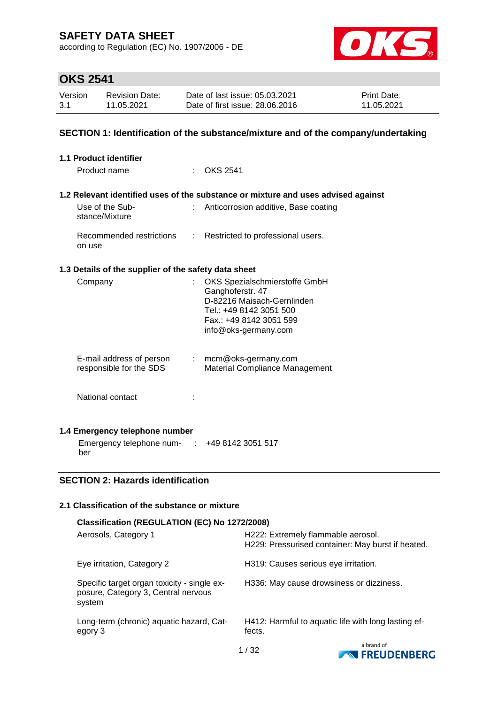according to Regulation (EC) No. 1907/2006 - DE



# **OKS 2541**

| Version | <b>Revision Date:</b> | Date of last issue: 05.03.2021  | <b>Print Date:</b> |
|---------|-----------------------|---------------------------------|--------------------|
| 3.1     | 11.05.2021            | Date of first issue: 28,06,2016 | 11.05.2021         |

#### **SECTION 1: Identification of the substance/mixture and of the company/undertaking**

| 1.1 Product identifier                                    |                               |                                                                                                                                                               |
|-----------------------------------------------------------|-------------------------------|---------------------------------------------------------------------------------------------------------------------------------------------------------------|
| Product name                                              |                               | <b>OKS 2541</b>                                                                                                                                               |
|                                                           |                               |                                                                                                                                                               |
|                                                           |                               | 1.2 Relevant identified uses of the substance or mixture and uses advised against                                                                             |
| Use of the Sub-<br>stance/Mixture                         |                               | Anticorrosion additive, Base coating                                                                                                                          |
| Recommended restrictions<br>on use                        | $\mathcal{L}^{\mathcal{L}}$ . | Restricted to professional users.                                                                                                                             |
| 1.3 Details of the supplier of the safety data sheet      |                               |                                                                                                                                                               |
| Company                                                   | t.                            | OKS Spezialschmierstoffe GmbH<br>Ganghoferstr. 47<br>D-82216 Maisach-Gernlinden<br>Tel.: +49 8142 3051 500<br>Fax.: +49 8142 3051 599<br>info@oks-germany.com |
| E-mail address of person<br>responsible for the SDS       | $\mathcal{I}^{\mathcal{I}}$ . | mcm@oks-germany.com<br><b>Material Compliance Management</b>                                                                                                  |
| National contact                                          |                               |                                                                                                                                                               |
| 1.4 Emergency telephone number                            |                               |                                                                                                                                                               |
| Emergency telephone num- $\cdot$ +49 8142 3051 517<br>ber |                               |                                                                                                                                                               |

## **SECTION 2: Hazards identification**

#### **2.1 Classification of the substance or mixture**

| Classification (REGULATION (EC) No 1272/2008)                                                |                                                                                         |
|----------------------------------------------------------------------------------------------|-----------------------------------------------------------------------------------------|
| Aerosols, Category 1                                                                         | H222: Extremely flammable aerosol.<br>H229: Pressurised container: May burst if heated. |
| Eye irritation, Category 2                                                                   | H319: Causes serious eye irritation.                                                    |
| Specific target organ toxicity - single ex-<br>posure, Category 3, Central nervous<br>system | H336: May cause drowsiness or dizziness.                                                |
| Long-term (chronic) aquatic hazard, Cat-<br>egory 3                                          | H412: Harmful to aquatic life with long lasting ef-<br>fects.                           |
|                                                                                              | a brand of                                                                              |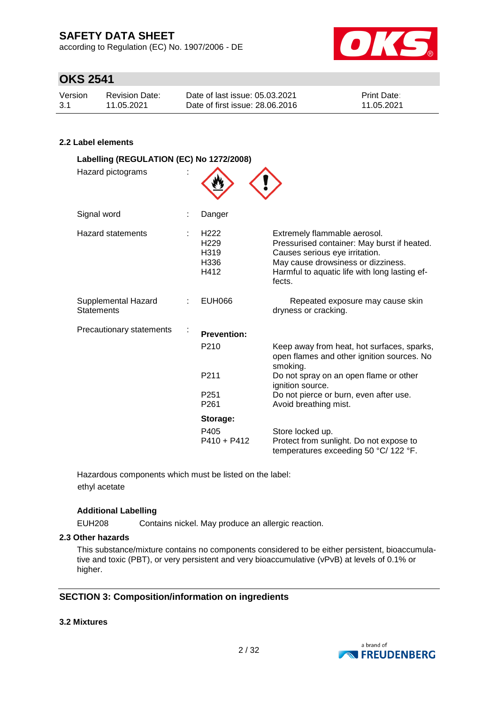according to Regulation (EC) No. 1907/2006 - DE



## **OKS 2541**

| Version | Revision Date: | Date of last issue: 05.03.2021  | <b>Print Date:</b> |
|---------|----------------|---------------------------------|--------------------|
| 3.1     | 11.05.2021     | Date of first issue: 28,06,2016 | 11.05.2021         |

#### **2.2 Label elements**

| Labelling (REGULATION (EC) No 1272/2008)<br>Hazard pictograms |                                                              |                                                                                                                                                                                                                |
|---------------------------------------------------------------|--------------------------------------------------------------|----------------------------------------------------------------------------------------------------------------------------------------------------------------------------------------------------------------|
| Signal word                                                   | Danger                                                       |                                                                                                                                                                                                                |
| <b>Hazard statements</b>                                      | H <sub>222</sub><br>H <sub>229</sub><br>H319<br>H336<br>H412 | Extremely flammable aerosol.<br>Pressurised container: May burst if heated.<br>Causes serious eye irritation.<br>May cause drowsiness or dizziness.<br>Harmful to aquatic life with long lasting ef-<br>fects. |
| Supplemental Hazard<br><b>Statements</b>                      | <b>EUH066</b>                                                | Repeated exposure may cause skin<br>dryness or cracking.                                                                                                                                                       |
| Precautionary statements                                      | <b>Prevention:</b>                                           |                                                                                                                                                                                                                |
|                                                               | P <sub>210</sub>                                             | Keep away from heat, hot surfaces, sparks,<br>open flames and other ignition sources. No<br>smoking.                                                                                                           |
|                                                               | P211                                                         | Do not spray on an open flame or other<br>ignition source.                                                                                                                                                     |
|                                                               | P <sub>251</sub><br>P <sub>261</sub>                         | Do not pierce or burn, even after use.<br>Avoid breathing mist.                                                                                                                                                |
|                                                               | Storage:                                                     |                                                                                                                                                                                                                |
|                                                               | P405<br>$P410 + P412$                                        | Store locked up.<br>Protect from sunlight. Do not expose to<br>temperatures exceeding 50 °C/ 122 °F.                                                                                                           |

Hazardous components which must be listed on the label: ethyl acetate

#### **Additional Labelling**

EUH208 Contains nickel. May produce an allergic reaction.

#### **2.3 Other hazards**

This substance/mixture contains no components considered to be either persistent, bioaccumulative and toxic (PBT), or very persistent and very bioaccumulative (vPvB) at levels of 0.1% or higher.

#### **SECTION 3: Composition/information on ingredients**

#### **3.2 Mixtures**

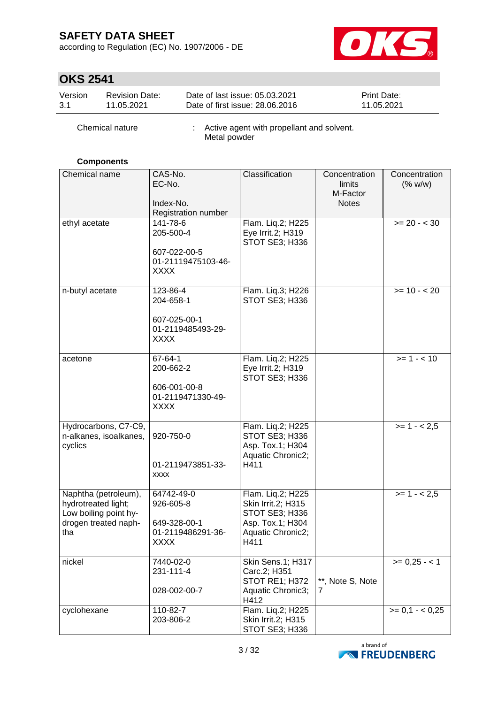according to Regulation (EC) No. 1907/2006 - DE



# **OKS 2541**

| Version | <b>Revision Date:</b> | Date of last issue: 05.03.2021  | <b>Print Date:</b> |
|---------|-----------------------|---------------------------------|--------------------|
| $-3.1$  | 11.05.2021            | Date of first issue: 28,06,2016 | 11.05.2021         |

| Chemical nature | Active agent with propellant and solvent.<br>Metal powder |
|-----------------|-----------------------------------------------------------|
|                 |                                                           |

## **Components**

| Chemical name                                                                                       | CAS-No.<br>EC-No.<br>Index-No.<br>Registration number                       | Classification                                                                                             | Concentration<br>limits<br>M-Factor<br><b>Notes</b> | Concentration<br>(% w/w) |
|-----------------------------------------------------------------------------------------------------|-----------------------------------------------------------------------------|------------------------------------------------------------------------------------------------------------|-----------------------------------------------------|--------------------------|
| ethyl acetate                                                                                       | 141-78-6<br>205-500-4<br>607-022-00-5<br>01-21119475103-46-<br><b>XXXX</b>  | Flam. Liq.2; H225<br>Eye Irrit.2; H319<br>STOT SE3; H336                                                   |                                                     | $>= 20 - 30$             |
| n-butyl acetate                                                                                     | 123-86-4<br>204-658-1<br>607-025-00-1<br>01-2119485493-29-<br><b>XXXX</b>   | Flam. Liq.3; H226<br><b>STOT SE3; H336</b>                                                                 |                                                     | $>= 10 - 20$             |
| acetone                                                                                             | 67-64-1<br>200-662-2<br>606-001-00-8<br>01-2119471330-49-<br><b>XXXX</b>    | Flam. Liq.2; H225<br>Eye Irrit.2; H319<br>STOT SE3; H336                                                   |                                                     | $>= 1 - 10$              |
| Hydrocarbons, C7-C9,<br>n-alkanes, isoalkanes,<br>cyclics                                           | 920-750-0<br>01-2119473851-33-<br><b>XXXX</b>                               | Flam. Liq.2; H225<br>STOT SE3; H336<br>Asp. Tox.1; H304<br>Aquatic Chronic2;<br>H411                       |                                                     | $>= 1 - 2.5$             |
| Naphtha (petroleum),<br>hydrotreated light;<br>Low boiling point hy-<br>drogen treated naph-<br>tha | 64742-49-0<br>926-605-8<br>649-328-00-1<br>01-2119486291-36-<br><b>XXXX</b> | Flam. Liq.2; H225<br>Skin Irrit.2; H315<br>STOT SE3; H336<br>Asp. Tox.1; H304<br>Aquatic Chronic2;<br>H411 |                                                     | $>= 1 - 2.5$             |
| nickel                                                                                              | 7440-02-0<br>231-111-4<br>028-002-00-7                                      | Skin Sens.1; H317<br>Carc.2; H351<br>STOT RE1; H372<br>Aquatic Chronic3;<br>H412                           | **, Note S, Note<br>7                               | $>= 0,25 - 1$            |
| cyclohexane                                                                                         | 110-82-7<br>203-806-2                                                       | Flam. Liq.2; H225<br>Skin Irrit.2; H315<br>STOT SE3; H336                                                  |                                                     | $>= 0.1 - < 0.25$        |

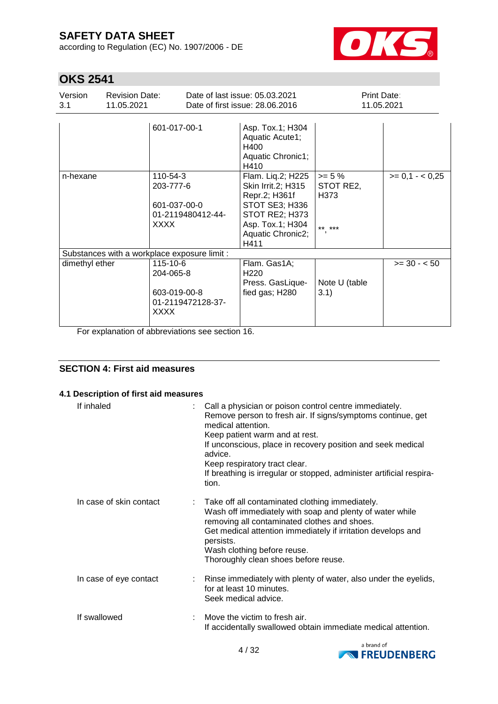according to Regulation (EC) No. 1907/2006 - DE



# **OKS 2541**

| Version<br>3.1 | <b>Revision Date:</b><br>11.05.2021          |                                                      |                   | Date of last issue: 05.03.2021<br>Date of first issue: 28,06,2016                                                                             |                                        | Print Date:<br>11.05.2021 |
|----------------|----------------------------------------------|------------------------------------------------------|-------------------|-----------------------------------------------------------------------------------------------------------------------------------------------|----------------------------------------|---------------------------|
|                |                                              | 601-017-00-1                                         |                   | Asp. Tox.1; H304<br>Aquatic Acute1;<br>H400<br>Aquatic Chronic1;<br>H410                                                                      |                                        |                           |
| n-hexane       |                                              | 110-54-3<br>203-777-6<br>601-037-00-0<br><b>XXXX</b> | 01-2119480412-44- | Flam. Liq.2; H225<br>Skin Irrit.2; H315<br>Repr.2; H361f<br>STOT SE3; H336<br>STOT RE2; H373<br>Asp. Tox.1; H304<br>Aquatic Chronic2;<br>H411 | $>= 5%$<br>STOT RE2,<br>H373<br>** *** | $>= 0.1 - 0.25$           |
|                | Substances with a workplace exposure limit : |                                                      |                   |                                                                                                                                               |                                        |                           |
| dimethyl ether |                                              | 115-10-6<br>204-065-8<br>603-019-00-8<br><b>XXXX</b> | 01-2119472128-37- | Flam. Gas1A;<br>H <sub>220</sub><br>Press. GasLique-<br>fied gas; H280                                                                        | Note U (table<br>3.1)                  | $>= 30 - 50$              |

For explanation of abbreviations see section 16.

## **SECTION 4: First aid measures**

#### **4.1 Description of first aid measures**

| If inhaled              | Call a physician or poison control centre immediately.<br>Remove person to fresh air. If signs/symptoms continue, get<br>medical attention.<br>Keep patient warm and at rest.<br>If unconscious, place in recovery position and seek medical<br>advice.<br>Keep respiratory tract clear.<br>If breathing is irregular or stopped, administer artificial respira-<br>tion. |
|-------------------------|---------------------------------------------------------------------------------------------------------------------------------------------------------------------------------------------------------------------------------------------------------------------------------------------------------------------------------------------------------------------------|
| In case of skin contact | : Take off all contaminated clothing immediately.<br>Wash off immediately with soap and plenty of water while<br>removing all contaminated clothes and shoes.<br>Get medical attention immediately if irritation develops and<br>persists.<br>Wash clothing before reuse.<br>Thoroughly clean shoes before reuse.                                                         |
| In case of eye contact  | : Rinse immediately with plenty of water, also under the eyelids,<br>for at least 10 minutes.<br>Seek medical advice.                                                                                                                                                                                                                                                     |
| If swallowed            | Move the victim to fresh air.<br>If accidentally swallowed obtain immediate medical attention.                                                                                                                                                                                                                                                                            |

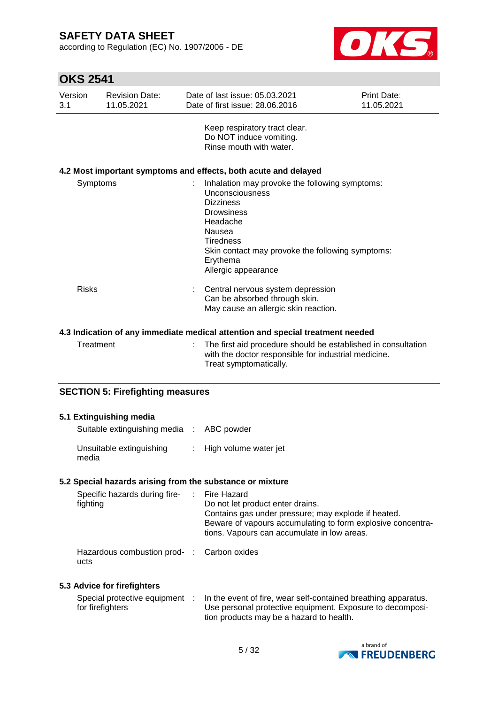according to Regulation (EC) No. 1907/2006 - DE



# **OKS 2541**

| Version<br>3.1 | <b>Revision Date:</b><br>11.05.2021 | Date of last issue: 05.03.2021<br>Date of first issue: 28.06.2016                                                                                                                                                                           | Print Date:<br>11.05.2021 |
|----------------|-------------------------------------|---------------------------------------------------------------------------------------------------------------------------------------------------------------------------------------------------------------------------------------------|---------------------------|
|                |                                     | Keep respiratory tract clear.<br>Do NOT induce vomiting.<br>Rinse mouth with water.                                                                                                                                                         |                           |
|                |                                     | 4.2 Most important symptoms and effects, both acute and delayed                                                                                                                                                                             |                           |
|                | Symptoms                            | Inhalation may provoke the following symptoms:<br>Unconsciousness<br><b>Dizziness</b><br><b>Drowsiness</b><br>Headache<br>Nausea<br><b>Tiredness</b><br>Skin contact may provoke the following symptoms:<br>Erythema<br>Allergic appearance |                           |
| <b>Risks</b>   |                                     | Central nervous system depression<br>Can be absorbed through skin.<br>May cause an allergic skin reaction.                                                                                                                                  |                           |
|                |                                     | 4.3 Indication of any immediate medical attention and special treatment needed                                                                                                                                                              |                           |
|                | Treatment                           | The first aid procedure should be established in consultation                                                                                                                                                                               |                           |

| Treatment | : The first aid procedure should be established in consultation |
|-----------|-----------------------------------------------------------------|
|           | with the doctor responsible for industrial medicine.            |
|           | Treat symptomatically.                                          |

## **SECTION 5: Firefighting measures**

| 5.1 Extinguishing media                                   |                                                                                                                                                                                                       |
|-----------------------------------------------------------|-------------------------------------------------------------------------------------------------------------------------------------------------------------------------------------------------------|
| Suitable extinguishing media : ABC powder                 |                                                                                                                                                                                                       |
| Unsuitable extinguishing<br>media                         | : High volume water jet                                                                                                                                                                               |
| 5.2 Special hazards arising from the substance or mixture |                                                                                                                                                                                                       |
| Specific hazards during fire- : Fire Hazard<br>fighting   | Do not let product enter drains.<br>Contains gas under pressure; may explode if heated.<br>Beware of vapours accumulating to form explosive concentra-<br>tions. Vapours can accumulate in low areas. |
| Hazardous combustion prod- : Carbon oxides<br>ucts        |                                                                                                                                                                                                       |
| 5.3 Advice for firefighters                               |                                                                                                                                                                                                       |

|                  | Special protective equipment : In the event of fire, wear self-contained breathing apparatus. |
|------------------|-----------------------------------------------------------------------------------------------|
| for firefighters | Use personal protective equipment. Exposure to decomposi-                                     |
|                  | tion products may be a hazard to health.                                                      |

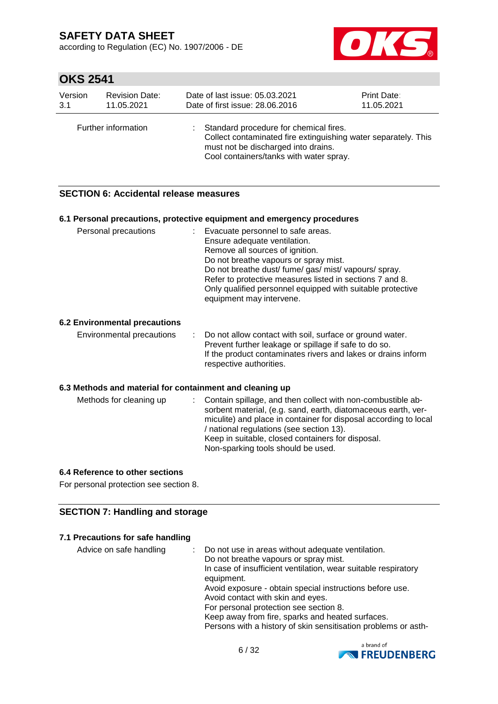according to Regulation (EC) No. 1907/2006 - DE



# **OKS 2541**

| <b>Revision Date:</b><br>Version<br>3.1<br>11.05.2021 |  | Date of last issue: 05.03.2021<br>Date of first issue: 28,06,2016                                                                                                                          | Print Date:<br>11.05.2021 |
|-------------------------------------------------------|--|--------------------------------------------------------------------------------------------------------------------------------------------------------------------------------------------|---------------------------|
| Further information                                   |  | Standard procedure for chemical fires.<br>Collect contaminated fire extinguishing water separately. This<br>must not be discharged into drains.<br>Cool containers/tanks with water spray. |                           |

## **SECTION 6: Accidental release measures**

|                                                          | 6.1 Personal precautions, protective equipment and emergency procedures                                                                                                                                                                                                                                                                                        |
|----------------------------------------------------------|----------------------------------------------------------------------------------------------------------------------------------------------------------------------------------------------------------------------------------------------------------------------------------------------------------------------------------------------------------------|
| Personal precautions                                     | : Evacuate personnel to safe areas.<br>Ensure adequate ventilation.<br>Remove all sources of ignition.<br>Do not breathe vapours or spray mist.<br>Do not breathe dust/ fume/ gas/ mist/ vapours/ spray.<br>Refer to protective measures listed in sections 7 and 8.<br>Only qualified personnel equipped with suitable protective<br>equipment may intervene. |
| <b>6.2 Environmental precautions</b>                     |                                                                                                                                                                                                                                                                                                                                                                |
| Environmental precautions                                | Do not allow contact with soil, surface or ground water.<br>Prevent further leakage or spillage if safe to do so.<br>If the product contaminates rivers and lakes or drains inform<br>respective authorities.                                                                                                                                                  |
| 6.3 Methods and material for containment and cleaning up |                                                                                                                                                                                                                                                                                                                                                                |
| Methods for cleaning up                                  | Contain spillage, and then collect with non-combustible ab-<br>sorbent material, (e.g. sand, earth, diatomaceous earth, ver-<br>miculite) and place in container for disposal according to local<br>/ national regulations (see section 13).<br>Keep in suitable, closed containers for disposal.<br>Non-sparking tools should be used.                        |

## **6.4 Reference to other sections**

For personal protection see section 8.

## **SECTION 7: Handling and storage**

#### **7.1 Precautions for safe handling**

| Avoid exposure - obtain special instructions before use.<br>Avoid contact with skin and eyes.<br>For personal protection see section 8.<br>Keep away from fire, sparks and heated surfaces.<br>Persons with a history of skin sensitisation problems or asth- | In case of insufficient ventilation, wear suitable respiratory |
|---------------------------------------------------------------------------------------------------------------------------------------------------------------------------------------------------------------------------------------------------------------|----------------------------------------------------------------|
|---------------------------------------------------------------------------------------------------------------------------------------------------------------------------------------------------------------------------------------------------------------|----------------------------------------------------------------|

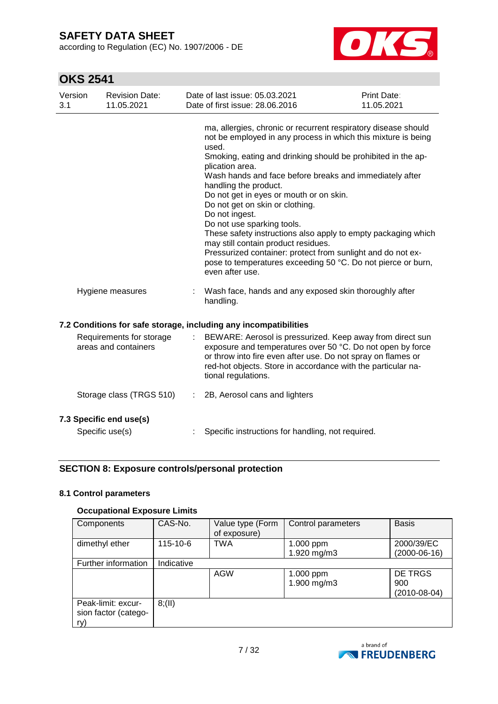according to Regulation (EC) No. 1907/2006 - DE



# **OKS 2541**

| Version<br>3.1 | <b>Revision Date:</b><br>11.05.2021              |                           | Date of last issue: 05.03.2021<br>Date of first issue: 28.06.2016                                                                                                                                                                                                                                                                                                                                                                                                                                                                                                                                                                                                                                       | Print Date:<br>11.05.2021 |
|----------------|--------------------------------------------------|---------------------------|---------------------------------------------------------------------------------------------------------------------------------------------------------------------------------------------------------------------------------------------------------------------------------------------------------------------------------------------------------------------------------------------------------------------------------------------------------------------------------------------------------------------------------------------------------------------------------------------------------------------------------------------------------------------------------------------------------|---------------------------|
|                |                                                  |                           | ma, allergies, chronic or recurrent respiratory disease should<br>not be employed in any process in which this mixture is being<br>used.<br>Smoking, eating and drinking should be prohibited in the ap-<br>plication area.<br>Wash hands and face before breaks and immediately after<br>handling the product.<br>Do not get in eyes or mouth or on skin.<br>Do not get on skin or clothing.<br>Do not ingest.<br>Do not use sparking tools.<br>These safety instructions also apply to empty packaging which<br>may still contain product residues.<br>Pressurized container: protect from sunlight and do not ex-<br>pose to temperatures exceeding 50 °C. Do not pierce or burn,<br>even after use. |                           |
|                | Hygiene measures                                 |                           | Wash face, hands and any exposed skin thoroughly after<br>handling.                                                                                                                                                                                                                                                                                                                                                                                                                                                                                                                                                                                                                                     |                           |
|                |                                                  |                           | 7.2 Conditions for safe storage, including any incompatibilities                                                                                                                                                                                                                                                                                                                                                                                                                                                                                                                                                                                                                                        |                           |
|                | Requirements for storage<br>areas and containers |                           | BEWARE: Aerosol is pressurized. Keep away from direct sun<br>exposure and temperatures over 50 °C. Do not open by force<br>or throw into fire even after use. Do not spray on flames or<br>red-hot objects. Store in accordance with the particular na-<br>tional regulations.                                                                                                                                                                                                                                                                                                                                                                                                                          |                           |
|                | Storage class (TRGS 510)                         | $\mathbb{Z}^{\mathbb{Z}}$ | 2B, Aerosol cans and lighters                                                                                                                                                                                                                                                                                                                                                                                                                                                                                                                                                                                                                                                                           |                           |
|                | 7.3 Specific end use(s)<br>Specific use(s)       |                           | Specific instructions for handling, not required.                                                                                                                                                                                                                                                                                                                                                                                                                                                                                                                                                                                                                                                       |                           |

## **SECTION 8: Exposure controls/personal protection**

#### **8.1 Control parameters**

#### **Occupational Exposure Limits**

| Components                                        | CAS-No.    | Value type (Form<br>of exposure) | Control parameters       | <b>Basis</b>                     |
|---------------------------------------------------|------------|----------------------------------|--------------------------|----------------------------------|
| dimethyl ether                                    | 115-10-6   | <b>TWA</b>                       | 1.000 ppm<br>1.920 mg/m3 | 2000/39/EC<br>$(2000-06-16)$     |
| Further information                               | Indicative |                                  |                          |                                  |
|                                                   |            | <b>AGW</b>                       | 1.000 ppm<br>1.900 mg/m3 | DE TRGS<br>900<br>$(2010-08-04)$ |
| Peak-limit: excur-<br>sion factor (catego-<br>ry) | 8(11)      |                                  |                          |                                  |

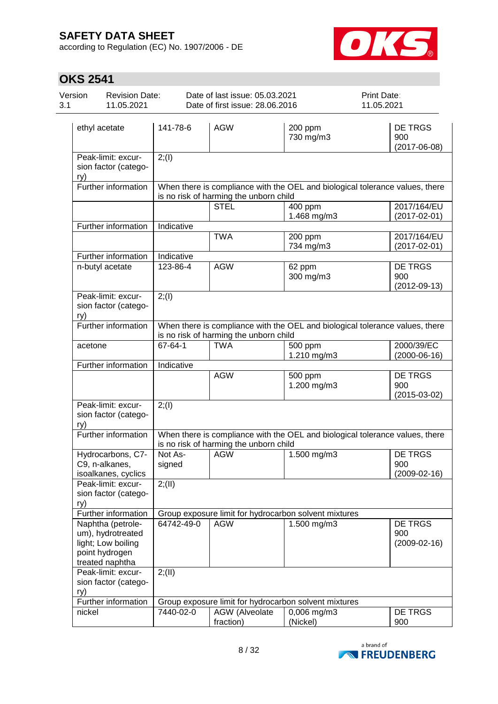according to Regulation (EC) No. 1907/2006 - DE



| Version<br><b>Revision Date:</b><br>3.1<br>11.05.2021 |                                                                                                   | Date of last issue: 05.03.2021<br>Date of first issue: 28.06.2016                                                      |                                        |                                                       | Print Date:<br>11.05.2021                                                    |  |  |
|-------------------------------------------------------|---------------------------------------------------------------------------------------------------|------------------------------------------------------------------------------------------------------------------------|----------------------------------------|-------------------------------------------------------|------------------------------------------------------------------------------|--|--|
|                                                       | ethyl acetate                                                                                     | 141-78-6                                                                                                               | <b>AGW</b>                             | 200 ppm<br>730 mg/m3                                  | DE TRGS<br>900<br>$(2017 - 06 - 08)$                                         |  |  |
| ry)                                                   | Peak-limit: excur-<br>sion factor (catego-                                                        | 2; (1)                                                                                                                 |                                        |                                                       |                                                                              |  |  |
|                                                       | Further information                                                                               |                                                                                                                        | is no risk of harming the unborn child |                                                       | When there is compliance with the OEL and biological tolerance values, there |  |  |
|                                                       |                                                                                                   |                                                                                                                        | <b>STEL</b>                            | 400 ppm<br>1.468 mg/m3                                | 2017/164/EU<br>$(2017 - 02 - 01)$                                            |  |  |
|                                                       | Further information                                                                               | Indicative                                                                                                             |                                        |                                                       |                                                                              |  |  |
|                                                       |                                                                                                   |                                                                                                                        | <b>TWA</b>                             | 200 ppm<br>734 mg/m3                                  | 2017/164/EU<br>$(2017 - 02 - 01)$                                            |  |  |
|                                                       | Further information                                                                               | Indicative                                                                                                             |                                        |                                                       |                                                                              |  |  |
|                                                       | n-butyl acetate                                                                                   | 123-86-4                                                                                                               | <b>AGW</b>                             | 62 ppm<br>300 mg/m3                                   | <b>DE TRGS</b><br>900<br>$(2012 - 09 - 13)$                                  |  |  |
| ry)                                                   | Peak-limit: excur-<br>sion factor (catego-                                                        | 2; (1)                                                                                                                 |                                        |                                                       |                                                                              |  |  |
|                                                       | Further information                                                                               |                                                                                                                        | is no risk of harming the unborn child |                                                       | When there is compliance with the OEL and biological tolerance values, there |  |  |
| acetone                                               |                                                                                                   | 67-64-1                                                                                                                | <b>TWA</b>                             | $\overline{500}$ ppm<br>1.210 mg/m3                   | 2000/39/EC<br>$(2000-06-16)$                                                 |  |  |
|                                                       | Further information                                                                               | Indicative                                                                                                             |                                        |                                                       |                                                                              |  |  |
|                                                       |                                                                                                   |                                                                                                                        | <b>AGW</b>                             | 500 ppm<br>1.200 mg/m3                                | <b>DE TRGS</b><br>900<br>$(2015-03-02)$                                      |  |  |
| ry)                                                   | Peak-limit: excur-<br>sion factor (catego-                                                        | 2; (1)                                                                                                                 |                                        |                                                       |                                                                              |  |  |
|                                                       | Further information                                                                               | When there is compliance with the OEL and biological tolerance values, there<br>is no risk of harming the unborn child |                                        |                                                       |                                                                              |  |  |
|                                                       | Hydrocarbons, C7-<br>C9, n-alkanes,<br>isoalkanes, cyclics                                        | Not As-<br>signed                                                                                                      | <b>AGW</b>                             | 1.500 mg/m3                                           | <b>DE TRGS</b><br>900<br>$(2009-02-16)$                                      |  |  |
| ry)                                                   | Peak-limit: excur-<br>sion factor (catego-                                                        | 2; (II)                                                                                                                |                                        |                                                       |                                                                              |  |  |
|                                                       | Further information                                                                               | Group exposure limit for hydrocarbon solvent mixtures                                                                  |                                        |                                                       |                                                                              |  |  |
|                                                       | Naphtha (petrole-<br>um), hydrotreated<br>light; Low boiling<br>point hydrogen<br>treated naphtha | 64742-49-0                                                                                                             | <b>AGW</b>                             | 1.500 mg/m3                                           | DE TRGS<br>900<br>$(2009 - 02 - 16)$                                         |  |  |
| ry)                                                   | Peak-limit: excur-<br>sion factor (catego-                                                        | 2; (II)                                                                                                                |                                        |                                                       |                                                                              |  |  |
|                                                       | Further information                                                                               |                                                                                                                        |                                        | Group exposure limit for hydrocarbon solvent mixtures |                                                                              |  |  |
| nickel                                                |                                                                                                   | 7440-02-0                                                                                                              | AGW (Alveolate<br>fraction)            | $0,006$ mg/m3<br>(Nickel)                             | DE TRGS<br>900                                                               |  |  |

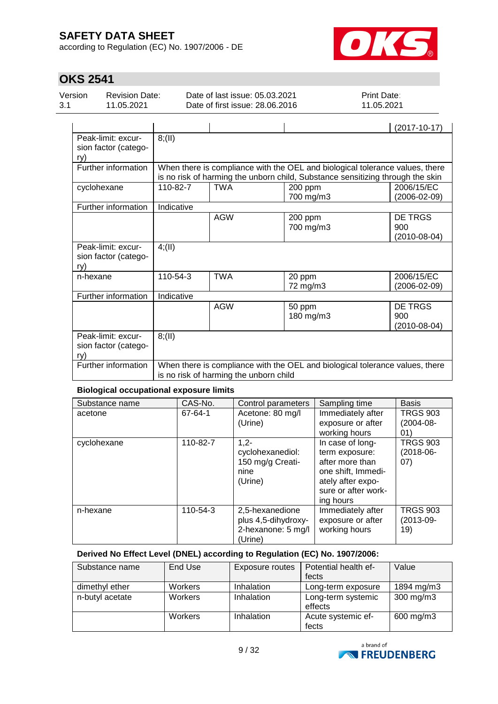according to Regulation (EC) No. 1907/2006 - DE



# **OKS 2541**

| Version | <b>Revision Date:</b> | Date of last issue: 05.03.2021  | <b>Print Date:</b> |  |
|---------|-----------------------|---------------------------------|--------------------|--|
| 3.1     | 11.05.2021            | Date of first issue: 28,06,2016 | 11.05.2021         |  |
|         |                       |                                 |                    |  |

|                                                            |            |                                                                                                                                                                |                      | $(2017 - 10 - 17)$                          |  |  |  |  |
|------------------------------------------------------------|------------|----------------------------------------------------------------------------------------------------------------------------------------------------------------|----------------------|---------------------------------------------|--|--|--|--|
| Peak-limit: excur-<br>sion factor (catego-<br>ry)          | 8(11)      |                                                                                                                                                                |                      |                                             |  |  |  |  |
| Further information                                        |            | When there is compliance with the OEL and biological tolerance values, there<br>is no risk of harming the unborn child, Substance sensitizing through the skin |                      |                                             |  |  |  |  |
| cyclohexane                                                | 110-82-7   | <b>TWA</b>                                                                                                                                                     | 200 ppm<br>700 mg/m3 | 2006/15/EC<br>(2006-02-09)                  |  |  |  |  |
| Further information                                        | Indicative |                                                                                                                                                                |                      |                                             |  |  |  |  |
|                                                            |            | <b>AGW</b>                                                                                                                                                     | 200 ppm<br>700 mg/m3 | <b>DE TRGS</b><br>900<br>$(2010 - 08 - 04)$ |  |  |  |  |
| Peak-limit: excur-<br>sion factor (catego-<br>ry)          | 4(11)      |                                                                                                                                                                |                      |                                             |  |  |  |  |
| n-hexane                                                   | 110-54-3   | <b>TWA</b>                                                                                                                                                     | 20 ppm<br>72 mg/m3   | 2006/15/EC<br>(2006-02-09)                  |  |  |  |  |
| Further information                                        | Indicative |                                                                                                                                                                |                      |                                             |  |  |  |  |
|                                                            |            | <b>AGW</b>                                                                                                                                                     | 50 ppm<br>180 mg/m3  | <b>DE TRGS</b><br>900<br>$(2010-08-04)$     |  |  |  |  |
| 8(11)<br>Peak-limit: excur-<br>sion factor (catego-<br>ry) |            |                                                                                                                                                                |                      |                                             |  |  |  |  |
| Further information                                        |            | When there is compliance with the OEL and biological tolerance values, there<br>is no risk of harming the unborn child                                         |                      |                                             |  |  |  |  |

#### **Biological occupational exposure limits**

| Substance name | CAS-No.  | Control parameters                                                      | Sampling time                                                                                                                        | <b>Basis</b>                             |
|----------------|----------|-------------------------------------------------------------------------|--------------------------------------------------------------------------------------------------------------------------------------|------------------------------------------|
| acetone        | 67-64-1  | Acetone: 80 mg/l<br>(Urine)                                             | Immediately after<br>exposure or after<br>working hours                                                                              | <b>TRGS 903</b><br>$(2004 - 08 -$<br>01) |
| cyclohexane    | 110-82-7 | $1.2 -$<br>cyclohexanediol:<br>150 mg/g Creati-<br>nine<br>(Urine)      | In case of long-<br>term exposure:<br>after more than<br>one shift, Immedi-<br>ately after expo-<br>sure or after work-<br>ing hours | <b>TRGS 903</b><br>$(2018-06-$<br>(07)   |
| n-hexane       | 110-54-3 | 2,5-hexanedione<br>plus 4,5-dihydroxy-<br>2-hexanone: 5 mg/l<br>(Urine) | Immediately after<br>exposure or after<br>working hours                                                                              | <b>TRGS 903</b><br>$(2013-09-$<br>19)    |

#### **Derived No Effect Level (DNEL) according to Regulation (EC) No. 1907/2006:**

| Substance name  | End Use        | Exposure routes | Potential health ef-          | Value          |
|-----------------|----------------|-----------------|-------------------------------|----------------|
|                 |                |                 | fects                         |                |
| dimethyl ether  | Workers        | Inhalation      | Long-term exposure            | 1894 mg/m3     |
| n-butyl acetate | <b>Workers</b> | Inhalation      | Long-term systemic<br>effects | $300$ mg/m $3$ |
|                 | Workers        | Inhalation      | Acute systemic ef-<br>fects   | 600 mg/m3      |

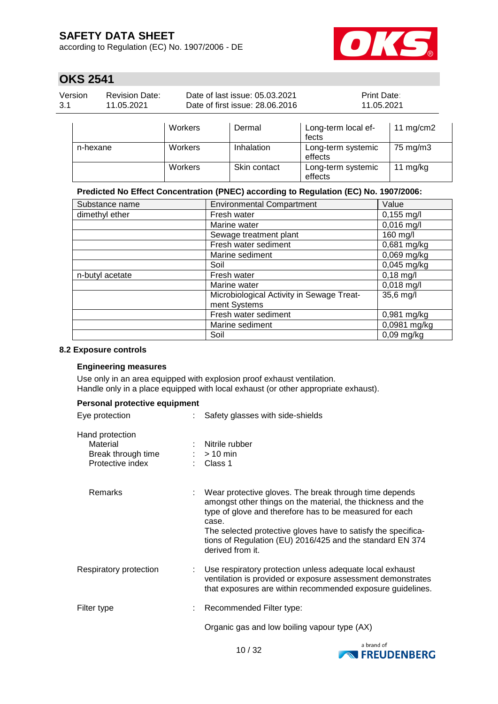according to Regulation (EC) No. 1907/2006 - DE



## **OKS 2541**

| Version | <b>Revision Date:</b> | Date of last issue: 05.03.2021  | <b>Print Date:</b> |
|---------|-----------------------|---------------------------------|--------------------|
| 3.1     | 11.05.2021            | Date of first issue: 28,06,2016 | 11.05.2021         |
|         |                       |                                 |                    |

|          | Workers        | Dermal       | Long-term local ef-<br>fects  | 11 $mg/cm2$ |
|----------|----------------|--------------|-------------------------------|-------------|
| n-hexane | <b>Workers</b> | Inhalation   | Long-term systemic<br>effects | 75 mg/m3    |
|          | Workers        | Skin contact | Long-term systemic<br>effects | 11 mg/kg    |

#### **Predicted No Effect Concentration (PNEC) according to Regulation (EC) No. 1907/2006:**

| Substance name  | <b>Environmental Compartment</b>                          | Value                     |
|-----------------|-----------------------------------------------------------|---------------------------|
| dimethyl ether  | Fresh water                                               | $0,155$ mg/l              |
|                 | Marine water                                              | $0,016$ mg/l              |
|                 | Sewage treatment plant                                    | 160 mg/l                  |
|                 | Fresh water sediment                                      | 0,681 mg/kg               |
|                 | Marine sediment                                           | $0,069$ mg/kg             |
|                 | Soil                                                      | $0,045$ mg/kg             |
| n-butyl acetate | Fresh water                                               | $0,18$ mg/l               |
|                 | Marine water                                              | $0,018$ mg/l              |
|                 | Microbiological Activity in Sewage Treat-<br>ment Systems | $35,6$ mg/l               |
|                 | Fresh water sediment                                      | 0,981 mg/kg               |
|                 | Marine sediment                                           | $\overline{0,0981}$ mg/kg |
|                 | Soil                                                      | $0,09$ mg/kg              |

#### **8.2 Exposure controls**

#### **Engineering measures**

Use only in an area equipped with explosion proof exhaust ventilation. Handle only in a place equipped with local exhaust (or other appropriate exhaust).

| Personal protective equipment                                         |   |                                                                                                                                                                                                                                                                                                                                             |
|-----------------------------------------------------------------------|---|---------------------------------------------------------------------------------------------------------------------------------------------------------------------------------------------------------------------------------------------------------------------------------------------------------------------------------------------|
| Eye protection                                                        |   | Safety glasses with side-shields                                                                                                                                                                                                                                                                                                            |
| Hand protection<br>Material<br>Break through time<br>Protective index |   | : Nitrile rubber<br>$:$ > 10 min<br>: Class 1                                                                                                                                                                                                                                                                                               |
| Remarks                                                               |   | Wear protective gloves. The break through time depends<br>amongst other things on the material, the thickness and the<br>type of glove and therefore has to be measured for each<br>case.<br>The selected protective gloves have to satisfy the specifica-<br>tions of Regulation (EU) 2016/425 and the standard EN 374<br>derived from it. |
| Respiratory protection                                                | ÷ | Use respiratory protection unless adequate local exhaust<br>ventilation is provided or exposure assessment demonstrates<br>that exposures are within recommended exposure guidelines.                                                                                                                                                       |
| Filter type                                                           |   | Recommended Filter type:                                                                                                                                                                                                                                                                                                                    |
|                                                                       |   | Organic gas and low boiling vapour type (AX)                                                                                                                                                                                                                                                                                                |

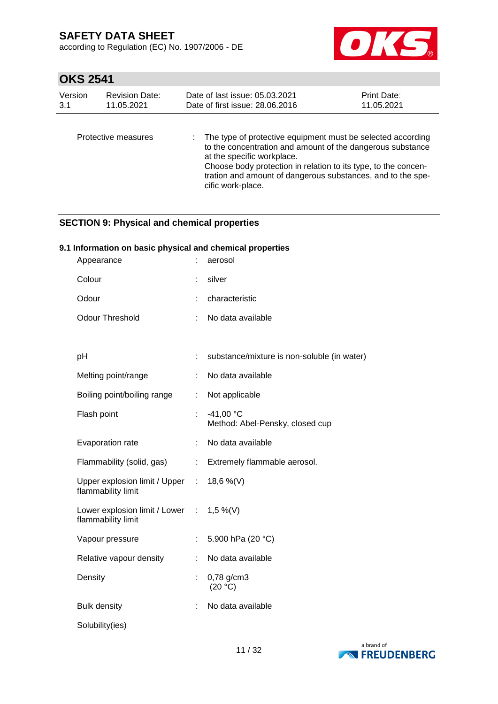according to Regulation (EC) No. 1907/2006 - DE



# **OKS 2541**

| Version | <b>Revision Date:</b> | Date of last issue: 05.03.2021                                                                                                                                                                                                                                                                                  | <b>Print Date:</b> |
|---------|-----------------------|-----------------------------------------------------------------------------------------------------------------------------------------------------------------------------------------------------------------------------------------------------------------------------------------------------------------|--------------------|
| 3.1     | 11.05.2021            | Date of first issue: 28,06,2016                                                                                                                                                                                                                                                                                 | 11.05.2021         |
|         | Protective measures   | : The type of protective equipment must be selected according<br>to the concentration and amount of the dangerous substance<br>at the specific workplace.<br>Choose body protection in relation to its type, to the concen-<br>tration and amount of dangerous substances, and to the spe-<br>cific work-place. |                    |

## **SECTION 9: Physical and chemical properties**

#### **9.1 Information on basic physical and chemical properties**

| Appearance                                                     |    | aerosol                                        |
|----------------------------------------------------------------|----|------------------------------------------------|
| Colour                                                         |    | silver                                         |
| Odour                                                          |    | characteristic                                 |
| <b>Odour Threshold</b>                                         | ÷  | No data available                              |
|                                                                |    |                                                |
| pH                                                             | t. | substance/mixture is non-soluble (in water)    |
| Melting point/range                                            |    | No data available                              |
| Boiling point/boiling range                                    | t. | Not applicable                                 |
| Flash point                                                    | ÷  | $-41,00 °C$<br>Method: Abel-Pensky, closed cup |
| Evaporation rate                                               | ÷  | No data available                              |
| Flammability (solid, gas)                                      | ÷  | Extremely flammable aerosol.                   |
| Upper explosion limit / Upper<br>flammability limit            | ÷  | 18,6 %(V)                                      |
| Lower explosion limit / Lower : 1,5 %(V)<br>flammability limit |    |                                                |
| Vapour pressure                                                |    | 5.900 hPa (20 °C)                              |
| Relative vapour density                                        |    | No data available                              |
| Density                                                        | Ì. | 0,78 g/cm3<br>(20 °C)                          |
| <b>Bulk density</b>                                            |    | No data available                              |
| Solubility(ies)                                                |    |                                                |

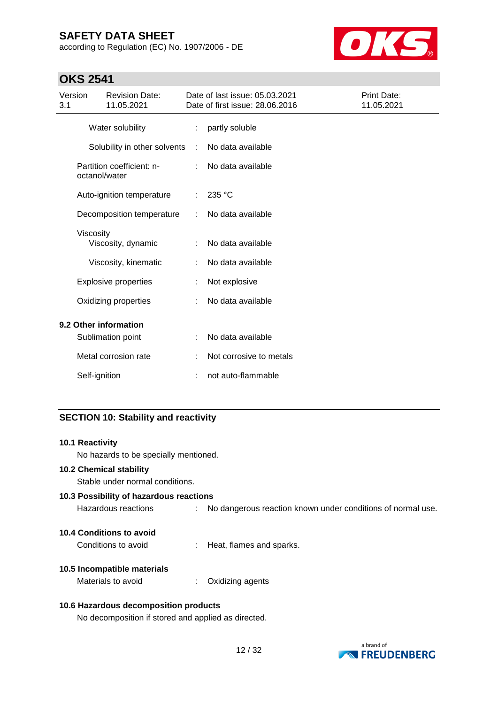according to Regulation (EC) No. 1907/2006 - DE



## **OKS 2541**

| Version<br>3.1 |               | <b>Revision Date:</b><br>11.05.2021        |   | Date of last issue: 05.03.2021<br>Date of first issue: 28.06.2016 | Print Date:<br>11.05.2021 |
|----------------|---------------|--------------------------------------------|---|-------------------------------------------------------------------|---------------------------|
|                |               | Water solubility                           |   | partly soluble                                                    |                           |
|                |               | Solubility in other solvents               | ÷ | No data available                                                 |                           |
|                |               | Partition coefficient: n-<br>octanol/water |   | No data available                                                 |                           |
|                |               | Auto-ignition temperature                  |   | 235 °C                                                            |                           |
|                |               | Decomposition temperature                  |   | No data available                                                 |                           |
|                | Viscosity     | Viscosity, dynamic                         |   | No data available                                                 |                           |
|                |               | Viscosity, kinematic                       |   | No data available                                                 |                           |
|                |               | <b>Explosive properties</b>                |   | Not explosive                                                     |                           |
|                |               | Oxidizing properties                       |   | No data available                                                 |                           |
|                |               | 9.2 Other information                      |   |                                                                   |                           |
|                |               | Sublimation point                          |   | No data available                                                 |                           |
|                |               | Metal corrosion rate                       |   | Not corrosive to metals                                           |                           |
|                | Self-ignition |                                            |   | not auto-flammable                                                |                           |

#### **SECTION 10: Stability and reactivity**

#### **10.1 Reactivity**

No hazards to be specially mentioned.

#### **10.2 Chemical stability**

Stable under normal conditions.

## **10.3 Possibility of hazardous reactions**

Hazardous reactions : No dangerous reaction known under conditions of normal use.

#### **10.4 Conditions to avoid**

Conditions to avoid : Heat, flames and sparks.

#### **10.5 Incompatible materials**

Materials to avoid : Oxidizing agents

#### **10.6 Hazardous decomposition products**

No decomposition if stored and applied as directed.

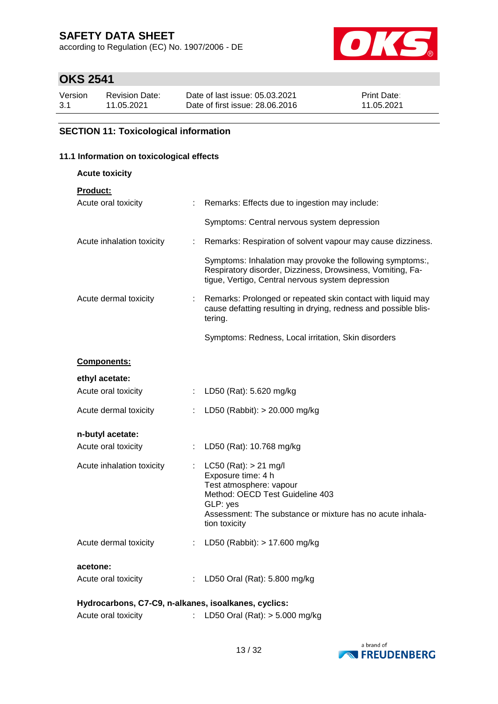according to Regulation (EC) No. 1907/2006 - DE



# **OKS 2541**

| Version | <b>Revision Date:</b> | Date of last issue: 05.03.2021  | <b>Print Date:</b> |
|---------|-----------------------|---------------------------------|--------------------|
| 3.1     | 11.05.2021            | Date of first issue: 28,06,2016 | 11.05.2021         |

## **SECTION 11: Toxicological information**

#### **11.1 Information on toxicological effects**

| <b>Acute toxicity</b>                                |                |                                                                                                                                                                                                         |  |
|------------------------------------------------------|----------------|---------------------------------------------------------------------------------------------------------------------------------------------------------------------------------------------------------|--|
| <b>Product:</b>                                      |                |                                                                                                                                                                                                         |  |
| Acute oral toxicity                                  | $\mathbb{Z}^n$ | Remarks: Effects due to ingestion may include:                                                                                                                                                          |  |
|                                                      |                | Symptoms: Central nervous system depression                                                                                                                                                             |  |
| Acute inhalation toxicity                            | ÷              | Remarks: Respiration of solvent vapour may cause dizziness.                                                                                                                                             |  |
|                                                      |                | Symptoms: Inhalation may provoke the following symptoms:,<br>Respiratory disorder, Dizziness, Drowsiness, Vomiting, Fa-<br>tigue, Vertigo, Central nervous system depression                            |  |
| Acute dermal toxicity                                |                | Remarks: Prolonged or repeated skin contact with liquid may<br>cause defatting resulting in drying, redness and possible blis-<br>tering.                                                               |  |
|                                                      |                | Symptoms: Redness, Local irritation, Skin disorders                                                                                                                                                     |  |
| <b>Components:</b>                                   |                |                                                                                                                                                                                                         |  |
| ethyl acetate:                                       |                |                                                                                                                                                                                                         |  |
| Acute oral toxicity                                  |                | : LD50 (Rat): 5.620 mg/kg                                                                                                                                                                               |  |
| Acute dermal toxicity                                |                | LD50 (Rabbit): > 20.000 mg/kg                                                                                                                                                                           |  |
| n-butyl acetate:                                     |                |                                                                                                                                                                                                         |  |
| Acute oral toxicity                                  |                | LD50 (Rat): 10.768 mg/kg                                                                                                                                                                                |  |
| Acute inhalation toxicity                            |                | : LC50 (Rat): $> 21$ mg/l<br>Exposure time: 4 h<br>Test atmosphere: vapour<br>Method: OECD Test Guideline 403<br>GLP: yes<br>Assessment: The substance or mixture has no acute inhala-<br>tion toxicity |  |
| Acute dermal toxicity                                |                | : LD50 (Rabbit): > 17.600 mg/kg                                                                                                                                                                         |  |
| acetone:<br>Acute oral toxicity                      |                | : LD50 Oral (Rat): 5.800 mg/kg                                                                                                                                                                          |  |
| Hydrocarbons, C7-C9, n-alkanes, isoalkanes, cyclics: |                |                                                                                                                                                                                                         |  |



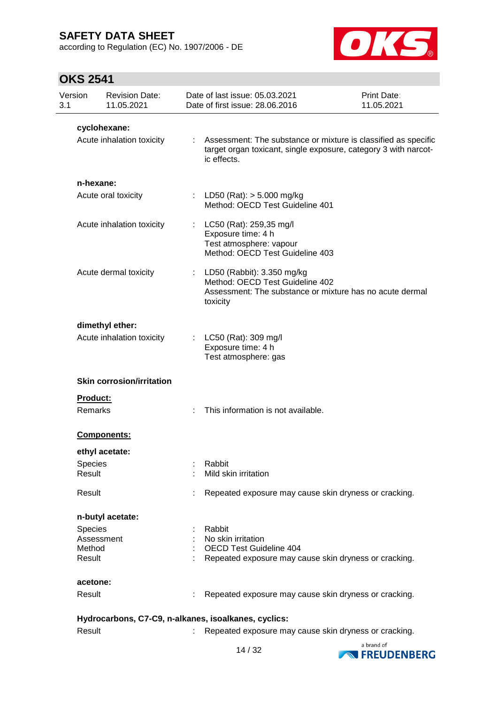according to Regulation (EC) No. 1907/2006 - DE



| Version<br>3.1      | <b>Revision Date:</b><br>11.05.2021 |   | Date of last issue: 05.03.2021<br>Date of first issue: 28.06.2016                                                                                | Print Date:<br>11.05.2021 |
|---------------------|-------------------------------------|---|--------------------------------------------------------------------------------------------------------------------------------------------------|---------------------------|
|                     | cyclohexane:                        |   |                                                                                                                                                  |                           |
|                     | Acute inhalation toxicity           | ÷ | Assessment: The substance or mixture is classified as specific<br>target organ toxicant, single exposure, category 3 with narcot-<br>ic effects. |                           |
|                     | n-hexane:                           |   |                                                                                                                                                  |                           |
|                     | Acute oral toxicity                 | ÷ | LD50 (Rat): $> 5.000$ mg/kg<br>Method: OECD Test Guideline 401                                                                                   |                           |
|                     | Acute inhalation toxicity           | ÷ | LC50 (Rat): 259,35 mg/l<br>Exposure time: 4 h<br>Test atmosphere: vapour<br>Method: OECD Test Guideline 403                                      |                           |
|                     | Acute dermal toxicity               | ÷ | LD50 (Rabbit): 3.350 mg/kg<br>Method: OECD Test Guideline 402<br>Assessment: The substance or mixture has no acute dermal<br>toxicity            |                           |
|                     | dimethyl ether:                     |   |                                                                                                                                                  |                           |
|                     | Acute inhalation toxicity           |   | LC50 (Rat): 309 mg/l<br>Exposure time: 4 h<br>Test atmosphere: gas                                                                               |                           |
|                     | <b>Skin corrosion/irritation</b>    |   |                                                                                                                                                  |                           |
| Product:<br>Remarks |                                     |   | This information is not available.                                                                                                               |                           |
|                     | Components:                         |   |                                                                                                                                                  |                           |
|                     | ethyl acetate:                      |   |                                                                                                                                                  |                           |
| Species<br>Result   |                                     |   | Rabbit<br>Mild skin irritation                                                                                                                   |                           |
| Result              |                                     |   | Repeated exposure may cause skin dryness or cracking.                                                                                            |                           |
|                     | n-butyl acetate:                    |   |                                                                                                                                                  |                           |
| <b>Species</b>      |                                     |   | Rabbit                                                                                                                                           |                           |
|                     | Assessment                          |   | No skin irritation<br><b>OECD Test Guideline 404</b>                                                                                             |                           |
| Method<br>Result    |                                     |   | Repeated exposure may cause skin dryness or cracking.                                                                                            |                           |
| acetone:            |                                     |   |                                                                                                                                                  |                           |
| Result              |                                     |   | Repeated exposure may cause skin dryness or cracking.                                                                                            |                           |
|                     |                                     |   | Hydrocarbons, C7-C9, n-alkanes, isoalkanes, cyclics:                                                                                             |                           |
| Result              |                                     |   | Repeated exposure may cause skin dryness or cracking.                                                                                            |                           |

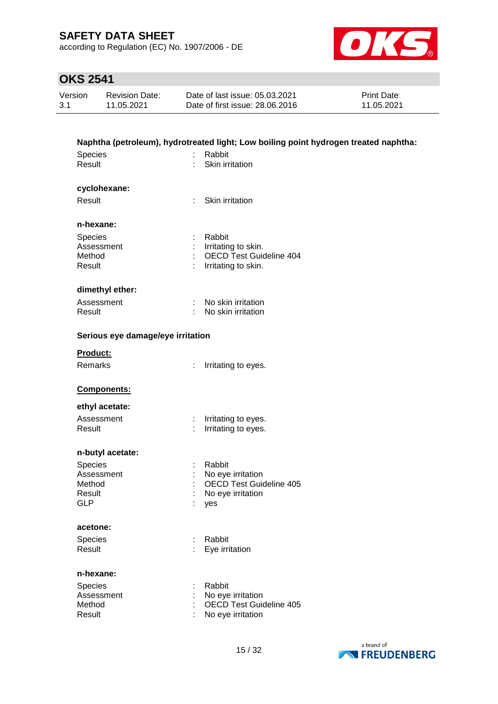according to Regulation (EC) No. 1907/2006 - DE



| Version | <b>Revision Date:</b> | Date of last issue: 05.03.2021  | <b>Print Date:</b> |
|---------|-----------------------|---------------------------------|--------------------|
| 3.1     | 11.05.2021            | Date of first issue: 28,06,2016 | 11.05.2021         |

| Species<br>Result                 | Rabbit      | Naphtha (petroleum), hydrotreated light; Low boiling point hydrogen treated naphtha:<br>Skin irritation |
|-----------------------------------|-------------|---------------------------------------------------------------------------------------------------------|
| cyclohexane:                      |             |                                                                                                         |
| Result                            | ÷           | Skin irritation                                                                                         |
| n-hexane:                         |             |                                                                                                         |
| Species                           | Rabbit<br>÷ |                                                                                                         |
| Assessment                        |             | Irritating to skin.                                                                                     |
| Method<br>Result                  |             | <b>OECD Test Guideline 404</b><br>Irritating to skin.                                                   |
|                                   |             |                                                                                                         |
| dimethyl ether:                   |             |                                                                                                         |
| Assessment                        | ÷           | No skin irritation                                                                                      |
| Result                            |             | No skin irritation                                                                                      |
| Serious eye damage/eye irritation |             |                                                                                                         |
| Product:                          |             |                                                                                                         |
| Remarks                           | ÷           | Irritating to eyes.                                                                                     |
| Components:                       |             |                                                                                                         |
| ethyl acetate:                    |             |                                                                                                         |
| Assessment                        | ÷           | Irritating to eyes.                                                                                     |
| Result                            |             | Irritating to eyes.                                                                                     |
| n-butyl acetate:                  |             |                                                                                                         |
| <b>Species</b>                    | Rabbit      |                                                                                                         |
| Assessment                        |             | No eye irritation                                                                                       |
| Method                            |             | <b>OECD Test Guideline 405</b>                                                                          |
| Result<br><b>GLP</b>              |             | No eye irritation                                                                                       |
|                                   | yes         |                                                                                                         |
| acetone:                          |             |                                                                                                         |
| Species                           | Rabbit<br>÷ |                                                                                                         |
| Result                            |             | Eye irritation                                                                                          |
|                                   |             |                                                                                                         |
| n-hexane:                         |             |                                                                                                         |
| Species                           | Rabbit      |                                                                                                         |
| Assessment                        |             | No eye irritation                                                                                       |
| Method<br>Result                  |             | <b>OECD Test Guideline 405</b><br>No eye irritation                                                     |

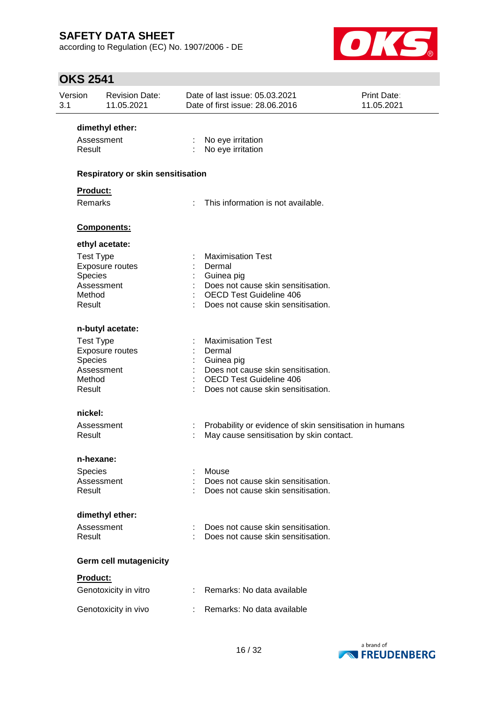according to Regulation (EC) No. 1907/2006 - DE



| Version<br>3.1 |                                                                      | <b>Revision Date:</b><br>11.05.2021      | Date of last issue: 05.03.2021<br>Date of first issue: 28.06.2016                                                                                              | Print Date:<br>11.05.2021 |
|----------------|----------------------------------------------------------------------|------------------------------------------|----------------------------------------------------------------------------------------------------------------------------------------------------------------|---------------------------|
|                |                                                                      | dimethyl ether:                          |                                                                                                                                                                |                           |
|                | Assessment<br>Result                                                 |                                          | No eye irritation<br>No eye irritation                                                                                                                         |                           |
|                |                                                                      | <b>Respiratory or skin sensitisation</b> |                                                                                                                                                                |                           |
|                | <b>Product:</b>                                                      |                                          |                                                                                                                                                                |                           |
|                | <b>Remarks</b>                                                       |                                          | This information is not available.                                                                                                                             |                           |
|                |                                                                      | Components:                              |                                                                                                                                                                |                           |
|                |                                                                      | ethyl acetate:                           |                                                                                                                                                                |                           |
|                | <b>Test Type</b><br><b>Species</b><br>Assessment<br>Method<br>Result | Exposure routes                          | <b>Maximisation Test</b><br>Dermal<br>Guinea pig<br>Does not cause skin sensitisation.<br><b>OECD Test Guideline 406</b><br>Does not cause skin sensitisation. |                           |
|                |                                                                      | n-butyl acetate:                         |                                                                                                                                                                |                           |
|                | <b>Test Type</b><br><b>Species</b><br>Assessment<br>Method<br>Result | Exposure routes                          | <b>Maximisation Test</b><br>Dermal<br>Guinea pig<br>Does not cause skin sensitisation.<br><b>OECD Test Guideline 406</b><br>Does not cause skin sensitisation. |                           |
|                | nickel:                                                              |                                          |                                                                                                                                                                |                           |
|                | Assessment<br>Result                                                 |                                          | Probability or evidence of skin sensitisation in humans<br>May cause sensitisation by skin contact.                                                            |                           |
|                | n-hexane:                                                            |                                          |                                                                                                                                                                |                           |
|                | <b>Species</b><br>Assessment<br>Result                               |                                          | Mouse<br>Does not cause skin sensitisation.<br>Does not cause skin sensitisation.                                                                              |                           |
|                |                                                                      | dimethyl ether:                          |                                                                                                                                                                |                           |
|                | Assessment<br>Result                                                 |                                          | Does not cause skin sensitisation.<br>Does not cause skin sensitisation.                                                                                       |                           |
|                |                                                                      | <b>Germ cell mutagenicity</b>            |                                                                                                                                                                |                           |
|                | Product:                                                             |                                          |                                                                                                                                                                |                           |
|                |                                                                      | Genotoxicity in vitro                    | Remarks: No data available                                                                                                                                     |                           |
|                |                                                                      | Genotoxicity in vivo                     | Remarks: No data available                                                                                                                                     |                           |

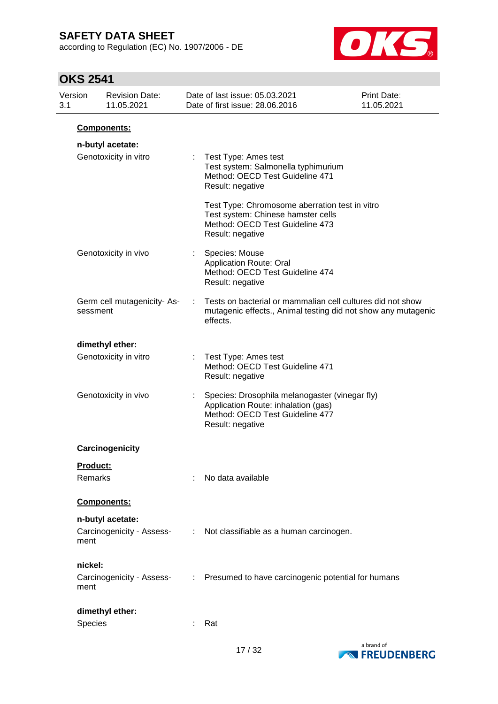according to Regulation (EC) No. 1907/2006 - DE



| Version<br>3.1 | <b>Revision Date:</b><br>11.05.2021     |                            | Date of last issue: 05.03.2021<br>Date of first issue: 28.06.2016                                                                            | Print Date:<br>11.05.2021 |
|----------------|-----------------------------------------|----------------------------|----------------------------------------------------------------------------------------------------------------------------------------------|---------------------------|
|                | Components:                             |                            |                                                                                                                                              |                           |
|                | n-butyl acetate:                        |                            |                                                                                                                                              |                           |
|                | Genotoxicity in vitro                   |                            | Test Type: Ames test<br>Test system: Salmonella typhimurium<br>Method: OECD Test Guideline 471<br>Result: negative                           |                           |
|                |                                         |                            | Test Type: Chromosome aberration test in vitro<br>Test system: Chinese hamster cells<br>Method: OECD Test Guideline 473<br>Result: negative  |                           |
|                | Genotoxicity in vivo                    |                            | Species: Mouse<br><b>Application Route: Oral</b><br>Method: OECD Test Guideline 474<br>Result: negative                                      |                           |
|                | Germ cell mutagenicity- As-<br>sessment | ÷                          | Tests on bacterial or mammalian cell cultures did not show<br>mutagenic effects., Animal testing did not show any mutagenic<br>effects.      |                           |
|                | dimethyl ether:                         |                            |                                                                                                                                              |                           |
|                | Genotoxicity in vitro                   |                            | Test Type: Ames test<br>Method: OECD Test Guideline 471<br>Result: negative                                                                  |                           |
|                | Genotoxicity in vivo                    |                            | Species: Drosophila melanogaster (vinegar fly)<br>Application Route: inhalation (gas)<br>Method: OECD Test Guideline 477<br>Result: negative |                           |
|                | Carcinogenicity                         |                            |                                                                                                                                              |                           |
|                | Product:                                |                            |                                                                                                                                              |                           |
| Remarks        |                                         |                            | No data available                                                                                                                            |                           |
|                | Components:                             |                            |                                                                                                                                              |                           |
|                | n-butyl acetate:                        |                            |                                                                                                                                              |                           |
| ment           | Carcinogenicity - Assess-               |                            | : Not classifiable as a human carcinogen.                                                                                                    |                           |
| nickel:        |                                         |                            |                                                                                                                                              |                           |
| ment           | Carcinogenicity - Assess-               | $\mathcal{L}^{\text{max}}$ | Presumed to have carcinogenic potential for humans                                                                                           |                           |
|                | dimethyl ether:                         |                            |                                                                                                                                              |                           |
| Species        |                                         |                            | Rat                                                                                                                                          |                           |

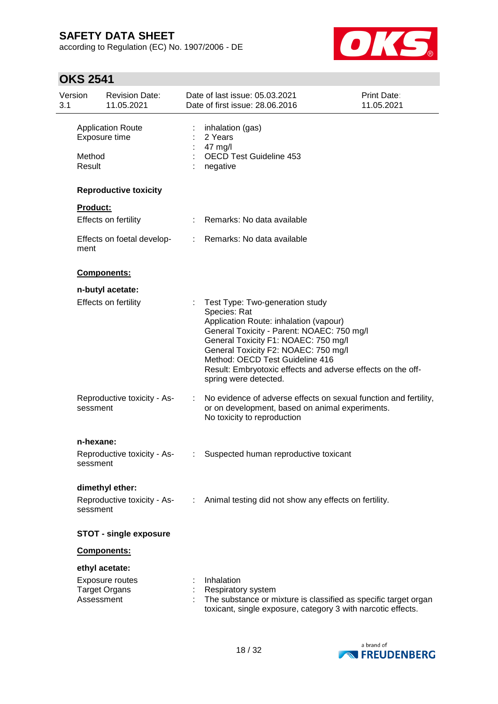according to Regulation (EC) No. 1907/2006 - DE



| Version<br>3.1 |                       | <b>Revision Date:</b><br>11.05.2021            |   | Date of last issue: 05.03.2021<br>Date of first issue: 28.06.2016                                                                                                                                                                                                                                                                                  | Print Date:<br>11.05.2021 |
|----------------|-----------------------|------------------------------------------------|---|----------------------------------------------------------------------------------------------------------------------------------------------------------------------------------------------------------------------------------------------------------------------------------------------------------------------------------------------------|---------------------------|
|                | Method<br>Result      | <b>Application Route</b><br>Exposure time      | ÷ | inhalation (gas)<br>2 Years<br>47 mg/l<br><b>OECD Test Guideline 453</b><br>negative                                                                                                                                                                                                                                                               |                           |
|                |                       | <b>Reproductive toxicity</b>                   |   |                                                                                                                                                                                                                                                                                                                                                    |                           |
|                | <b>Product:</b>       |                                                |   |                                                                                                                                                                                                                                                                                                                                                    |                           |
|                |                       | Effects on fertility                           |   | Remarks: No data available                                                                                                                                                                                                                                                                                                                         |                           |
|                | ment                  | Effects on foetal develop-                     |   | : Remarks: No data available                                                                                                                                                                                                                                                                                                                       |                           |
|                |                       | Components:                                    |   |                                                                                                                                                                                                                                                                                                                                                    |                           |
|                |                       | n-butyl acetate:                               |   |                                                                                                                                                                                                                                                                                                                                                    |                           |
|                |                       | Effects on fertility                           |   | Test Type: Two-generation study<br>Species: Rat<br>Application Route: inhalation (vapour)<br>General Toxicity - Parent: NOAEC: 750 mg/l<br>General Toxicity F1: NOAEC: 750 mg/l<br>General Toxicity F2: NOAEC: 750 mg/l<br>Method: OECD Test Guideline 416<br>Result: Embryotoxic effects and adverse effects on the off-<br>spring were detected. |                           |
|                | sessment              | Reproductive toxicity - As-                    | ÷ | No evidence of adverse effects on sexual function and fertility,<br>or on development, based on animal experiments.<br>No toxicity to reproduction                                                                                                                                                                                                 |                           |
|                |                       |                                                |   |                                                                                                                                                                                                                                                                                                                                                    |                           |
|                | n-hexane:<br>sessment | Reproductive toxicity - As-                    | ÷ | Suspected human reproductive toxicant                                                                                                                                                                                                                                                                                                              |                           |
|                | sessment              | dimethyl ether:<br>Reproductive toxicity - As- |   | : Animal testing did not show any effects on fertility.                                                                                                                                                                                                                                                                                            |                           |
|                |                       | <b>STOT - single exposure</b>                  |   |                                                                                                                                                                                                                                                                                                                                                    |                           |
|                |                       | Components:                                    |   |                                                                                                                                                                                                                                                                                                                                                    |                           |
|                |                       | ethyl acetate:                                 |   |                                                                                                                                                                                                                                                                                                                                                    |                           |
|                | Assessment            | Exposure routes<br><b>Target Organs</b>        |   | Inhalation<br><b>Respiratory system</b><br>The substance or mixture is classified as specific target organ<br>toxicant, single exposure, category 3 with narcotic effects.                                                                                                                                                                         |                           |

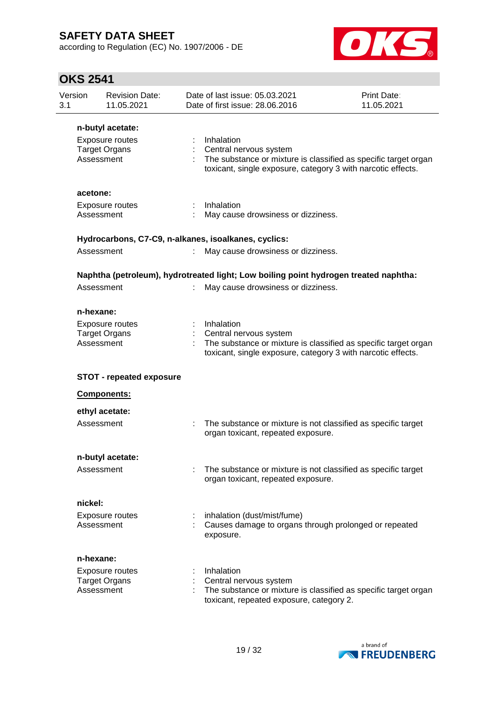according to Regulation (EC) No. 1907/2006 - DE



| Version<br>3.1 | <b>Revision Date:</b><br>11.05.2021                          |   | Date of last issue: 05.03.2021<br>Date of first issue: 28.06.2016                                                                                                       | <b>Print Date:</b><br>11.05.2021 |
|----------------|--------------------------------------------------------------|---|-------------------------------------------------------------------------------------------------------------------------------------------------------------------------|----------------------------------|
|                | n-butyl acetate:                                             |   |                                                                                                                                                                         |                                  |
|                | Exposure routes<br><b>Target Organs</b><br>Assessment        |   | Inhalation<br>Central nervous system<br>The substance or mixture is classified as specific target organ<br>toxicant, single exposure, category 3 with narcotic effects. |                                  |
| acetone:       |                                                              |   |                                                                                                                                                                         |                                  |
|                | <b>Exposure routes</b><br>Assessment                         |   | Inhalation<br>May cause drowsiness or dizziness.                                                                                                                        |                                  |
|                |                                                              |   | Hydrocarbons, C7-C9, n-alkanes, isoalkanes, cyclics:                                                                                                                    |                                  |
|                | Assessment                                                   |   | May cause drowsiness or dizziness.                                                                                                                                      |                                  |
|                |                                                              |   | Naphtha (petroleum), hydrotreated light; Low boiling point hydrogen treated naphtha:                                                                                    |                                  |
|                | Assessment                                                   |   | May cause drowsiness or dizziness.                                                                                                                                      |                                  |
| n-hexane:      |                                                              |   |                                                                                                                                                                         |                                  |
|                | Exposure routes<br><b>Target Organs</b><br>Assessment        |   | Inhalation<br>Central nervous system<br>The substance or mixture is classified as specific target organ<br>toxicant, single exposure, category 3 with narcotic effects. |                                  |
|                | <b>STOT - repeated exposure</b>                              |   |                                                                                                                                                                         |                                  |
|                | Components:                                                  |   |                                                                                                                                                                         |                                  |
|                | ethyl acetate:                                               |   |                                                                                                                                                                         |                                  |
|                | Assessment                                                   | t | The substance or mixture is not classified as specific target<br>organ toxicant, repeated exposure.                                                                     |                                  |
|                | n-butyl acetate:                                             |   |                                                                                                                                                                         |                                  |
|                | Assessment                                                   |   | The substance or mixture is not classified as specific target<br>organ toxicant, repeated exposure.                                                                     |                                  |
| nickel:        |                                                              |   |                                                                                                                                                                         |                                  |
|                | Exposure routes<br>Assessment                                |   | inhalation (dust/mist/fume)<br>Causes damage to organs through prolonged or repeated<br>exposure.                                                                       |                                  |
| n-hexane:      |                                                              |   |                                                                                                                                                                         |                                  |
|                | <b>Exposure routes</b><br><b>Target Organs</b><br>Assessment |   | Inhalation<br>Central nervous system<br>The substance or mixture is classified as specific target organ<br>toxicant, repeated exposure, category 2.                     |                                  |

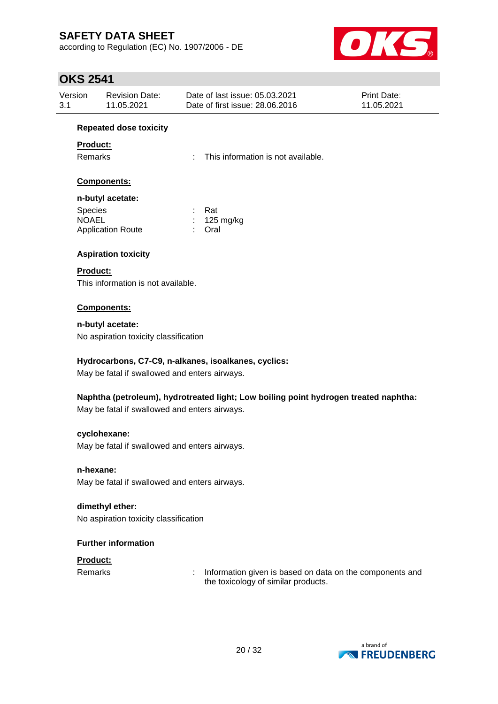according to Regulation (EC) No. 1907/2006 - DE



| <b>OKS 2541</b> |                                               |                                                                                      |                           |
|-----------------|-----------------------------------------------|--------------------------------------------------------------------------------------|---------------------------|
| Version<br>3.1  | <b>Revision Date:</b><br>11.05.2021           | Date of last issue: 05.03.2021<br>Date of first issue: 28.06.2016                    | Print Date:<br>11.05.2021 |
|                 | <b>Repeated dose toxicity</b>                 |                                                                                      |                           |
| Product:        |                                               |                                                                                      |                           |
| Remarks         |                                               | This information is not available.<br>÷                                              |                           |
|                 | Components:                                   |                                                                                      |                           |
|                 | n-butyl acetate:                              |                                                                                      |                           |
| Species         |                                               | Rat                                                                                  |                           |
| <b>NOAEL</b>    |                                               | 125 mg/kg                                                                            |                           |
|                 | <b>Application Route</b>                      | Oral                                                                                 |                           |
|                 | <b>Aspiration toxicity</b>                    |                                                                                      |                           |
| <b>Product:</b> |                                               |                                                                                      |                           |
|                 | This information is not available.            |                                                                                      |                           |
|                 | Components:                                   |                                                                                      |                           |
|                 | n-butyl acetate:                              |                                                                                      |                           |
|                 | No aspiration toxicity classification         |                                                                                      |                           |
|                 |                                               | Hydrocarbons, C7-C9, n-alkanes, isoalkanes, cyclics:                                 |                           |
|                 | May be fatal if swallowed and enters airways. |                                                                                      |                           |
|                 |                                               | Naphtha (petroleum), hydrotreated light; Low boiling point hydrogen treated naphtha: |                           |
|                 | May be fatal if swallowed and enters airways. |                                                                                      |                           |
|                 | cyclohexane:                                  |                                                                                      |                           |
|                 | May be fatal if swallowed and enters airways. |                                                                                      |                           |
| n-hexane:       |                                               |                                                                                      |                           |
|                 | May be fatal if swallowed and enters airways. |                                                                                      |                           |
|                 | dimethyl ether:                               |                                                                                      |                           |
|                 | No aspiration toxicity classification         |                                                                                      |                           |
|                 | <b>Further information</b>                    |                                                                                      |                           |
| Product:        |                                               |                                                                                      |                           |
| Remarks         |                                               | Information given is based on data on the components and<br>t                        |                           |

a brand of **EXPRESSION FREUDENBERG** 

the toxicology of similar products.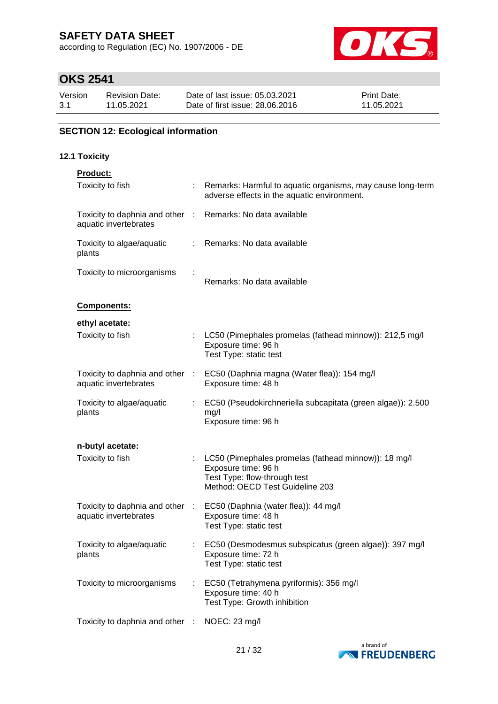according to Regulation (EC) No. 1907/2006 - DE



# **OKS 2541**

| Version | <b>Revision Date:</b> | Date of last issue: 05.03.2021  | <b>Print Date:</b> |
|---------|-----------------------|---------------------------------|--------------------|
| 3.1     | 11.05.2021            | Date of first issue: 28,06,2016 | 11.05.2021         |

## **SECTION 12: Ecological information**

## **12.1 Toxicity**

| <b>Product:</b>                                                                     |      |                                                                                                                                                |
|-------------------------------------------------------------------------------------|------|------------------------------------------------------------------------------------------------------------------------------------------------|
| Toxicity to fish                                                                    |      | Remarks: Harmful to aquatic organisms, may cause long-term<br>adverse effects in the aquatic environment.                                      |
| Toxicity to daphnia and other : Remarks: No data available<br>aquatic invertebrates |      |                                                                                                                                                |
| Toxicity to algae/aquatic<br>plants                                                 |      | : Remarks: No data available                                                                                                                   |
| Toxicity to microorganisms                                                          |      | Remarks: No data available                                                                                                                     |
| Components:                                                                         |      |                                                                                                                                                |
| ethyl acetate:                                                                      |      |                                                                                                                                                |
| Toxicity to fish                                                                    |      | : LC50 (Pimephales promelas (fathead minnow)): 212,5 mg/l<br>Exposure time: 96 h<br>Test Type: static test                                     |
| Toxicity to daphnia and other :<br>aquatic invertebrates                            |      | EC50 (Daphnia magna (Water flea)): 154 mg/l<br>Exposure time: 48 h                                                                             |
| Toxicity to algae/aquatic<br>plants                                                 |      | EC50 (Pseudokirchneriella subcapitata (green algae)): 2.500<br>mg/l<br>Exposure time: 96 h                                                     |
| n-butyl acetate:                                                                    |      |                                                                                                                                                |
| Toxicity to fish                                                                    |      | LC50 (Pimephales promelas (fathead minnow)): 18 mg/l<br>Exposure time: 96 h<br>Test Type: flow-through test<br>Method: OECD Test Guideline 203 |
| Toxicity to daphnia and other :<br>aquatic invertebrates                            |      | EC50 (Daphnia (water flea)): 44 mg/l<br>Exposure time: 48 h<br>Test Type: static test                                                          |
| Toxicity to algae/aquatic<br>plants                                                 |      | EC50 (Desmodesmus subspicatus (green algae)): 397 mg/l<br>Exposure time: 72 h<br>Test Type: static test                                        |
| Toxicity to microorganisms                                                          |      | EC50 (Tetrahymena pyriformis): 356 mg/l<br>Exposure time: 40 h<br>Test Type: Growth inhibition                                                 |
| Toxicity to daphnia and other                                                       | - 11 | NOEC: 23 mg/l                                                                                                                                  |
|                                                                                     |      |                                                                                                                                                |

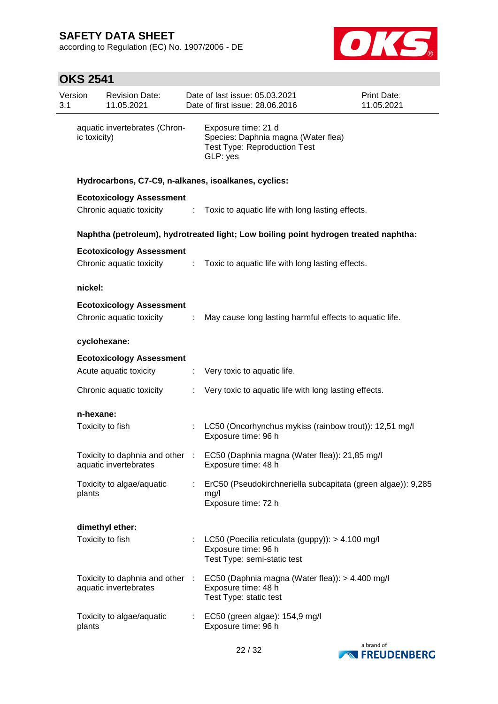according to Regulation (EC) No. 1907/2006 - DE



| 3.1 | Version      | <b>Revision Date:</b><br>11.05.2021                         |                             | Date of last issue: 05.03.2021<br>Date of first issue: 28.06.2016                                             | <b>Print Date:</b><br>11.05.2021 |  |  |  |  |
|-----|--------------|-------------------------------------------------------------|-----------------------------|---------------------------------------------------------------------------------------------------------------|----------------------------------|--|--|--|--|
|     | ic toxicity) | aquatic invertebrates (Chron-                               |                             | Exposure time: 21 d<br>Species: Daphnia magna (Water flea)<br><b>Test Type: Reproduction Test</b><br>GLP: yes |                                  |  |  |  |  |
|     |              |                                                             |                             | Hydrocarbons, C7-C9, n-alkanes, isoalkanes, cyclics:                                                          |                                  |  |  |  |  |
|     |              | <b>Ecotoxicology Assessment</b>                             |                             |                                                                                                               |                                  |  |  |  |  |
|     |              | Chronic aquatic toxicity                                    |                             | : Toxic to aquatic life with long lasting effects.                                                            |                                  |  |  |  |  |
|     |              |                                                             |                             | Naphtha (petroleum), hydrotreated light; Low boiling point hydrogen treated naphtha:                          |                                  |  |  |  |  |
|     |              | <b>Ecotoxicology Assessment</b><br>Chronic aquatic toxicity | ÷                           | Toxic to aquatic life with long lasting effects.                                                              |                                  |  |  |  |  |
|     | nickel:      |                                                             |                             |                                                                                                               |                                  |  |  |  |  |
|     |              | <b>Ecotoxicology Assessment</b><br>Chronic aquatic toxicity | $\mathcal{I}^{\mathcal{I}}$ | May cause long lasting harmful effects to aquatic life.                                                       |                                  |  |  |  |  |
|     |              | cyclohexane:                                                |                             |                                                                                                               |                                  |  |  |  |  |
|     |              | <b>Ecotoxicology Assessment</b>                             |                             |                                                                                                               |                                  |  |  |  |  |
|     |              | Acute aquatic toxicity                                      |                             | : Very toxic to aquatic life.                                                                                 |                                  |  |  |  |  |
|     |              | Chronic aquatic toxicity                                    | ÷.                          | Very toxic to aquatic life with long lasting effects.                                                         |                                  |  |  |  |  |
|     | n-hexane:    |                                                             |                             |                                                                                                               |                                  |  |  |  |  |
|     |              | Toxicity to fish                                            |                             | : LC50 (Oncorhynchus mykiss (rainbow trout)): 12,51 mg/l<br>Exposure time: 96 h                               |                                  |  |  |  |  |
|     |              | aquatic invertebrates                                       |                             | Toxicity to daphnia and other : EC50 (Daphnia magna (Water flea)): 21,85 mg/l<br>Exposure time: 48 h          |                                  |  |  |  |  |
|     | plants       | Toxicity to algae/aquatic                                   | ÷                           | ErC50 (Pseudokirchneriella subcapitata (green algae)): 9,285<br>mg/l<br>Exposure time: 72 h                   |                                  |  |  |  |  |
|     |              | dimethyl ether:                                             |                             |                                                                                                               |                                  |  |  |  |  |
|     |              | Toxicity to fish                                            |                             | LC50 (Poecilia reticulata (guppy)): > 4.100 mg/l<br>Exposure time: 96 h<br>Test Type: semi-static test        |                                  |  |  |  |  |
|     |              | Toxicity to daphnia and other :<br>aquatic invertebrates    |                             | EC50 (Daphnia magna (Water flea)): > 4.400 mg/l<br>Exposure time: 48 h<br>Test Type: static test              |                                  |  |  |  |  |
|     | plants       | Toxicity to algae/aquatic                                   | ÷                           | EC50 (green algae): 154,9 mg/l<br>Exposure time: 96 h                                                         |                                  |  |  |  |  |

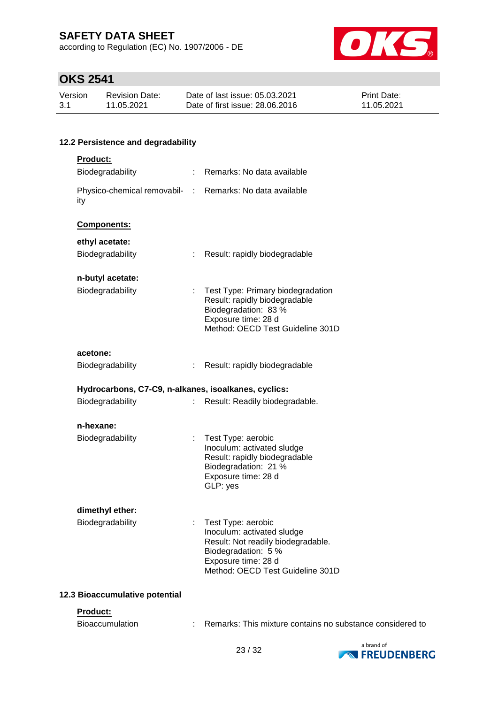according to Regulation (EC) No. 1907/2006 - DE



# **OKS 2541**

| Version | Revision Date: | Date of last issue: 05.03.2021  | <b>Print Date:</b> |
|---------|----------------|---------------------------------|--------------------|
| -3.1    | 11.05.2021     | Date of first issue: 28,06,2016 | 11.05.2021         |

## **12.2 Persistence and degradability**

| Product:                                                        |    |                                                                                                                                                                          |
|-----------------------------------------------------------------|----|--------------------------------------------------------------------------------------------------------------------------------------------------------------------------|
| Biodegradability                                                | t. | Remarks: No data available                                                                                                                                               |
| Physico-chemical removabil- : Remarks: No data available<br>ity |    |                                                                                                                                                                          |
| Components:                                                     |    |                                                                                                                                                                          |
| ethyl acetate:                                                  |    |                                                                                                                                                                          |
| Biodegradability                                                | t. | Result: rapidly biodegradable                                                                                                                                            |
| n-butyl acetate:                                                |    |                                                                                                                                                                          |
| Biodegradability                                                | t  | Test Type: Primary biodegradation<br>Result: rapidly biodegradable<br>Biodegradation: 83 %<br>Exposure time: 28 d<br>Method: OECD Test Guideline 301D                    |
| acetone:                                                        |    |                                                                                                                                                                          |
| Biodegradability                                                | t. | Result: rapidly biodegradable                                                                                                                                            |
| Hydrocarbons, C7-C9, n-alkanes, isoalkanes, cyclics:            |    |                                                                                                                                                                          |
| Biodegradability                                                | ÷  | Result: Readily biodegradable.                                                                                                                                           |
| n-hexane:                                                       |    |                                                                                                                                                                          |
| Biodegradability                                                | t  | Test Type: aerobic<br>Inoculum: activated sludge<br>Result: rapidly biodegradable<br>Biodegradation: 21 %<br>Exposure time: 28 d<br>GLP: yes                             |
| dimethyl ether:<br>Biodegradability                             | t, | Test Type: aerobic<br>Inoculum: activated sludge<br>Result: Not readily biodegradable.<br>Biodegradation: 5 %<br>Exposure time: 28 d<br>Method: OECD Test Guideline 301D |

#### **12.3 Bioaccumulative potential**

#### **Product:**

| Bioaccumulation |  | Remarks: This mixture contains no substance considered to |
|-----------------|--|-----------------------------------------------------------|
|-----------------|--|-----------------------------------------------------------|

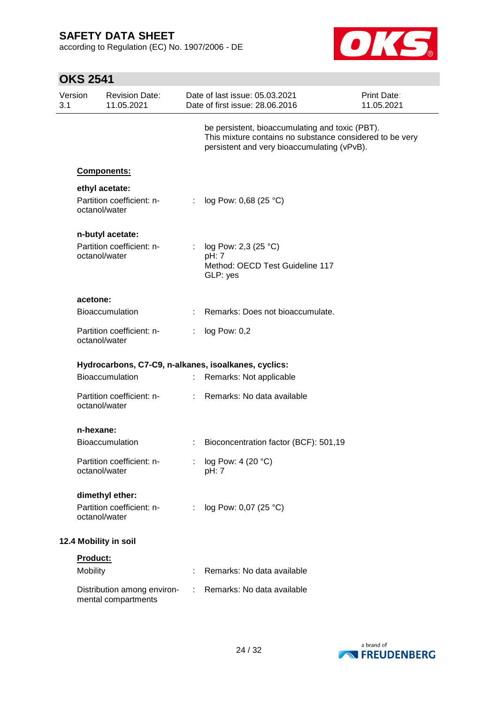**OKS 2541**

according to Regulation (EC) No. 1907/2006 - DE



| Version |                       | <b>Revision Date:</b>                              |                             | Date of last issue: 05.03.2021                                                                                                                             | <b>Print Date:</b> |
|---------|-----------------------|----------------------------------------------------|-----------------------------|------------------------------------------------------------------------------------------------------------------------------------------------------------|--------------------|
| 3.1     |                       | 11.05.2021                                         |                             | Date of first issue: 28.06.2016                                                                                                                            | 11.05.2021         |
|         |                       |                                                    |                             | be persistent, bioaccumulating and toxic (PBT).<br>This mixture contains no substance considered to be very<br>persistent and very bioaccumulating (vPvB). |                    |
|         |                       | Components:                                        |                             |                                                                                                                                                            |                    |
|         |                       | ethyl acetate:                                     |                             |                                                                                                                                                            |                    |
|         | octanol/water         | Partition coefficient: n-                          | $\mathcal{L}^{\mathcal{L}}$ | log Pow: 0,68 (25 °C)                                                                                                                                      |                    |
|         |                       | n-butyl acetate:                                   |                             |                                                                                                                                                            |                    |
|         |                       | Partition coefficient: n-                          | t.                          | log Pow: 2,3 (25 °C)                                                                                                                                       |                    |
|         | octanol/water         |                                                    |                             | pH: 7<br>Method: OECD Test Guideline 117<br>GLP: yes                                                                                                       |                    |
|         | acetone:              |                                                    |                             |                                                                                                                                                            |                    |
|         |                       | <b>Bioaccumulation</b>                             |                             | Remarks: Does not bioaccumulate.                                                                                                                           |                    |
|         | octanol/water         | Partition coefficient: n-                          | ÷                           | log Pow: 0,2                                                                                                                                               |                    |
|         |                       |                                                    |                             | Hydrocarbons, C7-C9, n-alkanes, isoalkanes, cyclics:                                                                                                       |                    |
|         |                       | <b>Bioaccumulation</b>                             | ÷.                          | Remarks: Not applicable                                                                                                                                    |                    |
|         | octanol/water         | Partition coefficient: n-                          | t.                          | Remarks: No data available                                                                                                                                 |                    |
|         | n-hexane:             |                                                    |                             |                                                                                                                                                            |                    |
|         |                       | <b>Bioaccumulation</b>                             |                             | Bioconcentration factor (BCF): 501,19                                                                                                                      |                    |
|         | octanol/water         | Partition coefficient: n-                          |                             | log Pow: 4 (20 °C)<br>pH: 7                                                                                                                                |                    |
|         |                       | dimethyl ether:                                    |                             |                                                                                                                                                            |                    |
|         | octanol/water         | Partition coefficient: n-                          | ÷.                          | log Pow: 0,07 (25 °C)                                                                                                                                      |                    |
|         | 12.4 Mobility in soil |                                                    |                             |                                                                                                                                                            |                    |
|         | <b>Product:</b>       |                                                    |                             |                                                                                                                                                            |                    |
|         | <b>Mobility</b>       |                                                    |                             | Remarks: No data available                                                                                                                                 |                    |
|         |                       | Distribution among environ-<br>mental compartments |                             | Remarks: No data available                                                                                                                                 |                    |

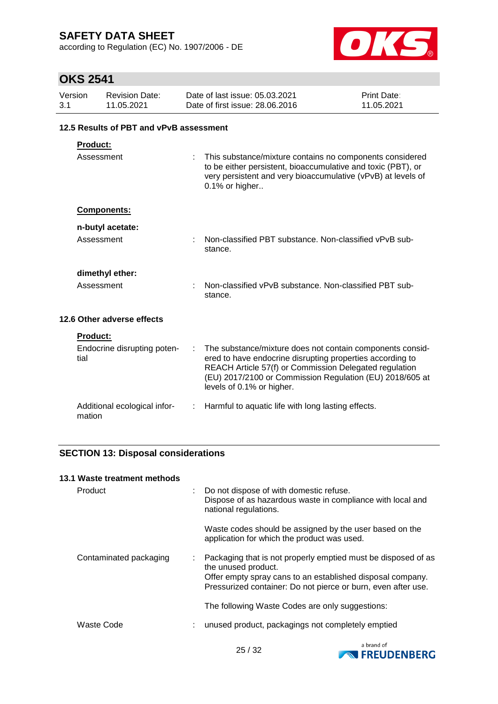according to Regulation (EC) No. 1907/2006 - DE



## **OKS 2541**

| Version<br>3.1  | <b>Revision Date:</b><br>11.05.2021     | Date of last issue: 05.03.2021<br>Print Date:<br>Date of first issue: 28,06,2016<br>11.05.2021                                                                                                             |  |
|-----------------|-----------------------------------------|------------------------------------------------------------------------------------------------------------------------------------------------------------------------------------------------------------|--|
|                 | 12.5 Results of PBT and vPvB assessment |                                                                                                                                                                                                            |  |
| <b>Product:</b> |                                         |                                                                                                                                                                                                            |  |
| Assessment      |                                         | This substance/mixture contains no components considered<br>to be either persistent, bioaccumulative and toxic (PBT), or<br>very persistent and very bioaccumulative (vPvB) at levels of<br>0.1% or higher |  |
|                 | <b>Components:</b>                      |                                                                                                                                                                                                            |  |
|                 | n-butyl acetate:                        |                                                                                                                                                                                                            |  |

| Assessment | : Non-classified PBT substance. Non-classified vPvB sub- |
|------------|----------------------------------------------------------|
|            | stance.                                                  |
|            |                                                          |

stance.

**dimethyl ether:**

Assessment : Non-classified vPvB substance. Non-classified PBT sub-

**12.6 Other adverse effects**

**Product:**

| <b>HUGUGL.</b>                         |                                                                                                                                                                                                                                                                           |
|----------------------------------------|---------------------------------------------------------------------------------------------------------------------------------------------------------------------------------------------------------------------------------------------------------------------------|
| Endocrine disrupting poten-<br>tial    | The substance/mixture does not contain components consid-<br>ered to have endocrine disrupting properties according to<br>REACH Article 57(f) or Commission Delegated regulation<br>(EU) 2017/2100 or Commission Regulation (EU) 2018/605 at<br>levels of 0.1% or higher. |
| Additional ecological infor-<br>mation | : Harmful to aquatic life with long lasting effects.                                                                                                                                                                                                                      |

## **SECTION 13: Disposal considerations**

#### **13.1 Waste treatment methods**

| Product                |    | : Do not dispose of with domestic refuse.<br>Dispose of as hazardous waste in compliance with local and<br>national regulations.                                                                                    |
|------------------------|----|---------------------------------------------------------------------------------------------------------------------------------------------------------------------------------------------------------------------|
|                        |    | Waste codes should be assigned by the user based on the<br>application for which the product was used.                                                                                                              |
| Contaminated packaging | ÷. | Packaging that is not properly emptied must be disposed of as<br>the unused product.<br>Offer empty spray cans to an established disposal company.<br>Pressurized container: Do not pierce or burn, even after use. |
|                        |    | The following Waste Codes are only suggestions:                                                                                                                                                                     |
| Waste Code             |    | unused product, packagings not completely emptied                                                                                                                                                                   |

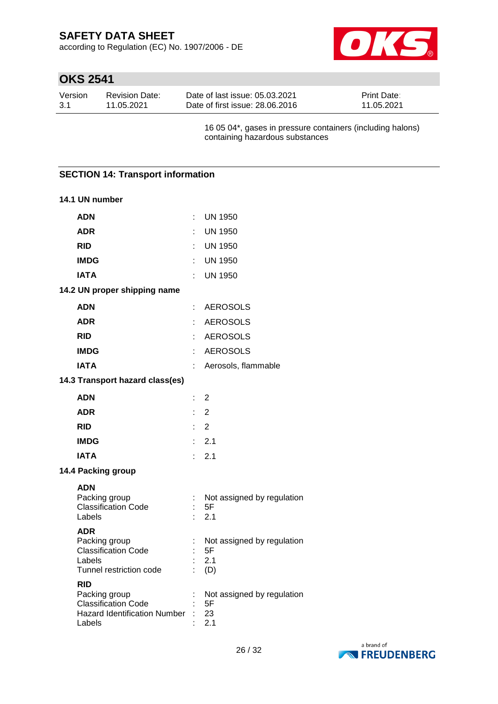according to Regulation (EC) No. 1907/2006 - DE



# **OKS 2541**

| Version | Revision Date: | Date of last issue: 05.03.2021  | <b>Print Date:</b> |
|---------|----------------|---------------------------------|--------------------|
| -3.1    | 11.05.2021     | Date of first issue: 28.06.2016 | 11.05.2021         |

16 05 04\*, gases in pressure containers (including halons) containing hazardous substances

## **SECTION 14: Transport information**

| 14.1 UN number                                                                                             |                |                                                |
|------------------------------------------------------------------------------------------------------------|----------------|------------------------------------------------|
| <b>ADN</b>                                                                                                 | t              | <b>UN 1950</b>                                 |
| <b>ADR</b>                                                                                                 | t              | <b>UN 1950</b>                                 |
| <b>RID</b>                                                                                                 | t              | <b>UN 1950</b>                                 |
| <b>IMDG</b>                                                                                                | ÷              | <b>UN 1950</b>                                 |
| <b>IATA</b>                                                                                                | t              | <b>UN 1950</b>                                 |
| 14.2 UN proper shipping name                                                                               |                |                                                |
| <b>ADN</b>                                                                                                 | t              | <b>AEROSOLS</b>                                |
| <b>ADR</b>                                                                                                 | ÷              | <b>AEROSOLS</b>                                |
| <b>RID</b>                                                                                                 |                | <b>AEROSOLS</b>                                |
| <b>IMDG</b>                                                                                                | ł.             | <b>AEROSOLS</b>                                |
| <b>IATA</b>                                                                                                | t,             | Aerosols, flammable                            |
| 14.3 Transport hazard class(es)                                                                            |                |                                                |
| <b>ADN</b>                                                                                                 | t,             | 2                                              |
| <b>ADR</b>                                                                                                 | ł.             | $\overline{2}$                                 |
| <b>RID</b>                                                                                                 | ł.             | 2                                              |
| <b>IMDG</b>                                                                                                | ł.             | 2.1                                            |
| <b>IATA</b>                                                                                                | ÷              | 2.1                                            |
| 14.4 Packing group                                                                                         |                |                                                |
| <b>ADN</b><br>Packing group<br><b>Classification Code</b><br>Labels                                        | $\vdots$<br>۰  | Not assigned by regulation<br>5F<br>2.1        |
| <b>ADR</b><br>Packing group<br><b>Classification Code</b><br>Labels<br>Tunnel restriction code             | $\ddot{\cdot}$ | Not assigned by regulation<br>5F<br>2.1<br>(D) |
| <b>RID</b><br>Packing group<br><b>Classification Code</b><br><b>Hazard Identification Number</b><br>Labels |                | Not assigned by regulation<br>5F<br>23<br>2.1  |

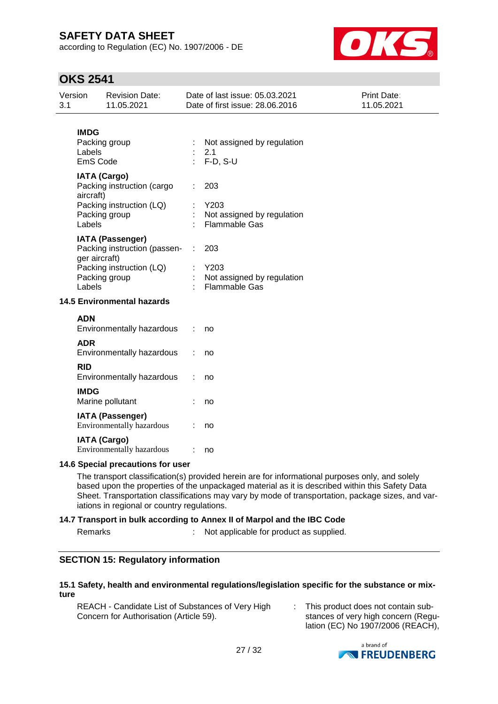according to Regulation (EC) No. 1907/2006 - DE



## **OKS 2541**

| Version<br>3.1           | <b>Revision Date:</b><br>11.05.2021                                                                                   | Date of last issue: 05.03.2021<br>Date of first issue: 28.06.2016 | Print Date:<br>11.05.2021 |
|--------------------------|-----------------------------------------------------------------------------------------------------------------------|-------------------------------------------------------------------|---------------------------|
| <b>IMDG</b><br>Labels    | Packing group<br>EmS Code                                                                                             | Not assigned by regulation<br>2.1<br>$F-D, S-U$                   |                           |
| aircraft)<br>Labels      | <b>IATA (Cargo)</b><br>Packing instruction (cargo<br>Packing instruction (LQ)<br>Packing group                        | 203<br>Y203<br>Not assigned by regulation<br><b>Flammable Gas</b> |                           |
| Labels                   | <b>IATA (Passenger)</b><br>Packing instruction (passen-<br>ger aircraft)<br>Packing instruction (LQ)<br>Packing group | 203<br>Y203<br>Not assigned by regulation<br>Flammable Gas        |                           |
|                          | <b>14.5 Environmental hazards</b>                                                                                     |                                                                   |                           |
| <b>ADN</b><br><b>ADR</b> | Environmentally hazardous                                                                                             | no                                                                |                           |
| <b>RID</b>               | Environmentally hazardous<br>Environmentally hazardous                                                                | no<br>no                                                          |                           |
| <b>IMDG</b>              | Marine pollutant                                                                                                      | no                                                                |                           |
|                          | <b>IATA (Passenger)</b><br>Environmentally hazardous                                                                  | no                                                                |                           |
|                          | <b>IATA (Cargo)</b><br>Environmentally hazardous<br>14.6 Special precautions for user                                 | no                                                                |                           |

#### **14.6 Special precautions for user**

The transport classification(s) provided herein are for informational purposes only, and solely based upon the properties of the unpackaged material as it is described within this Safety Data Sheet. Transportation classifications may vary by mode of transportation, package sizes, and variations in regional or country regulations.

#### **14.7 Transport in bulk according to Annex II of Marpol and the IBC Code**

Remarks : Not applicable for product as supplied.

#### **SECTION 15: Regulatory information**

#### **15.1 Safety, health and environmental regulations/legislation specific for the substance or mixture**

REACH - Candidate List of Substances of Very High Concern for Authorisation (Article 59). : This product does not contain substances of very high concern (Regulation (EC) No 1907/2006 (REACH),

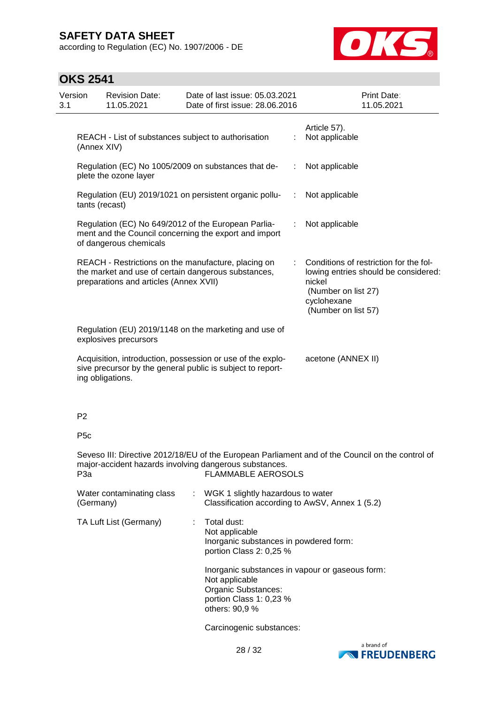according to Regulation (EC) No. 1907/2006 - DE



| Version<br>3.1 |                                                                                                                                                      | <b>Revision Date:</b><br>11.05.2021                                           |                           | Date of last issue: 05.03.2021<br>Date of first issue: 28.06.2016                                |   | Print Date:<br>11.05.2021                                                                                                                             |
|----------------|------------------------------------------------------------------------------------------------------------------------------------------------------|-------------------------------------------------------------------------------|---------------------------|--------------------------------------------------------------------------------------------------|---|-------------------------------------------------------------------------------------------------------------------------------------------------------|
|                | (Annex XIV)                                                                                                                                          | REACH - List of substances subject to authorisation                           |                           |                                                                                                  | ÷ | Article 57).<br>Not applicable                                                                                                                        |
|                |                                                                                                                                                      | plete the ozone layer                                                         |                           | Regulation (EC) No 1005/2009 on substances that de-                                              | ÷ | Not applicable                                                                                                                                        |
|                | tants (recast)                                                                                                                                       |                                                                               |                           | Regulation (EU) 2019/1021 on persistent organic pollu-<br>÷                                      |   | Not applicable                                                                                                                                        |
|                |                                                                                                                                                      | Regulation (EC) No 649/2012 of the European Parlia-<br>of dangerous chemicals |                           | ment and the Council concerning the export and import                                            |   | Not applicable                                                                                                                                        |
|                | REACH - Restrictions on the manufacture, placing on<br>the market and use of certain dangerous substances,<br>preparations and articles (Annex XVII) |                                                                               |                           |                                                                                                  |   | Conditions of restriction for the fol-<br>lowing entries should be considered:<br>nickel<br>(Number on list 27)<br>cyclohexane<br>(Number on list 57) |
|                | Regulation (EU) 2019/1148 on the marketing and use of<br>explosives precursors                                                                       |                                                                               |                           |                                                                                                  |   |                                                                                                                                                       |
|                | Acquisition, introduction, possession or use of the explo-<br>sive precursor by the general public is subject to report-<br>ing obligations.         |                                                                               |                           |                                                                                                  |   | acetone (ANNEX II)                                                                                                                                    |
|                | P <sub>2</sub>                                                                                                                                       |                                                                               |                           |                                                                                                  |   |                                                                                                                                                       |
|                | P <sub>5c</sub>                                                                                                                                      |                                                                               |                           |                                                                                                  |   |                                                                                                                                                       |
|                | P <sub>3</sub> a                                                                                                                                     | major-accident hazards involving dangerous substances.                        | <b>FLAMMABLE AEROSOLS</b> | Seveso III: Directive 2012/18/EU of the European Parliament and of the Council on the control of |   |                                                                                                                                                       |
|                | Water contaminating class<br>WGK 1 slightly hazardous to water<br>Classification according to AwSV Annex 1 (5.2)<br>(Germany).                       |                                                                               |                           |                                                                                                  |   |                                                                                                                                                       |

| Water contaminating class<br>(Germany) | : WGK 1 slightly hazardous to water<br>Classification according to AwSV, Annex 1 (5.2)                                                                                                                                                                   |
|----------------------------------------|----------------------------------------------------------------------------------------------------------------------------------------------------------------------------------------------------------------------------------------------------------|
| TA Luft List (Germany)                 | $\therefore$ Total dust:<br>Not applicable<br>Inorganic substances in powdered form:<br>portion Class 2: 0,25 %<br>Inorganic substances in vapour or gaseous form:<br>Not applicable<br>Organic Substances:<br>portion Class 1: 0,23 %<br>others: 90,9 % |
|                                        | Carcinogenic substances:                                                                                                                                                                                                                                 |

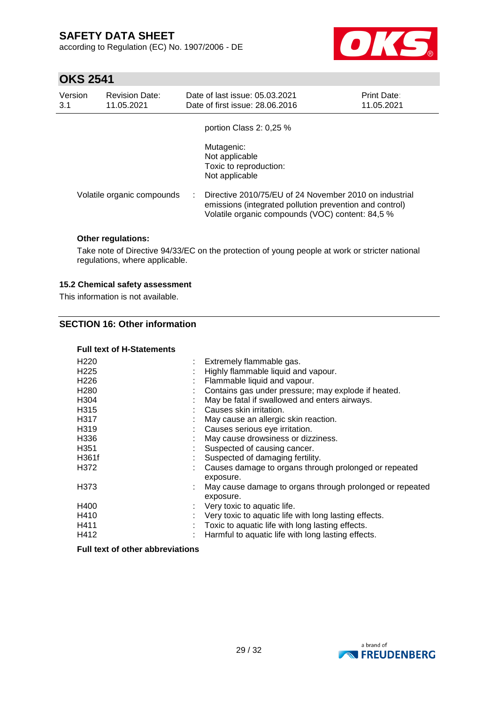according to Regulation (EC) No. 1907/2006 - DE



## **OKS 2541**

| Version<br>3.1 | <b>Revision Date:</b><br>11.05.2021 | Date of last issue: 05.03.2021<br>Date of first issue: 28,06,2016                                                                                                     | <b>Print Date:</b><br>11.05.2021 |
|----------------|-------------------------------------|-----------------------------------------------------------------------------------------------------------------------------------------------------------------------|----------------------------------|
|                |                                     | portion Class 2: 0,25 %                                                                                                                                               |                                  |
|                |                                     | Mutagenic:<br>Not applicable<br>Toxic to reproduction:<br>Not applicable                                                                                              |                                  |
|                | Volatile organic compounds          | Directive 2010/75/EU of 24 November 2010 on industrial<br>emissions (integrated pollution prevention and control)<br>Volatile organic compounds (VOC) content: 84,5 % |                                  |

#### **Other regulations:**

Take note of Directive 94/33/EC on the protection of young people at work or stricter national regulations, where applicable.

#### **15.2 Chemical safety assessment**

This information is not available.

#### **SECTION 16: Other information**

#### **Full text of H-Statements**

| : Extremely flammable gas.                                            |
|-----------------------------------------------------------------------|
| Highly flammable liquid and vapour.                                   |
| Flammable liquid and vapour.                                          |
| Contains gas under pressure; may explode if heated.                   |
| May be fatal if swallowed and enters airways.                         |
| Causes skin irritation.                                               |
| May cause an allergic skin reaction.                                  |
| Causes serious eye irritation.                                        |
| May cause drowsiness or dizziness.                                    |
| Suspected of causing cancer.                                          |
| Suspected of damaging fertility.                                      |
| Causes damage to organs through prolonged or repeated<br>exposure.    |
| May cause damage to organs through prolonged or repeated<br>exposure. |
| $\therefore$ Very toxic to aquatic life.                              |
| Very toxic to aquatic life with long lasting effects.                 |
| Toxic to aquatic life with long lasting effects.                      |
| Harmful to aquatic life with long lasting effects.                    |
|                                                                       |

#### **Full text of other abbreviations**

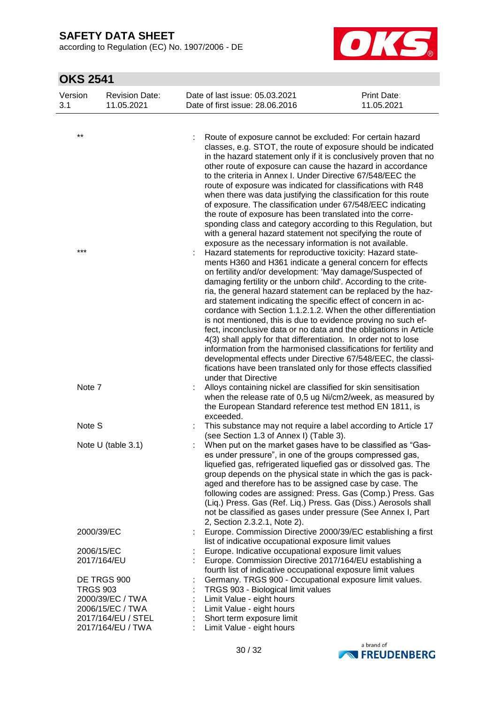according to Regulation (EC) No. 1907/2006 - DE



| Version<br>3.1 | <b>Revision Date:</b><br>11.05.2021                | Date of last issue: 05.03.2021<br>Date of first issue: 28,06,2016                                                                                                                                                                                                                                                                                                                                                                                                                                                                                                                                                                                                                                                                                                                                                                                                                                          | Print Date:<br>11.05.2021 |
|----------------|----------------------------------------------------|------------------------------------------------------------------------------------------------------------------------------------------------------------------------------------------------------------------------------------------------------------------------------------------------------------------------------------------------------------------------------------------------------------------------------------------------------------------------------------------------------------------------------------------------------------------------------------------------------------------------------------------------------------------------------------------------------------------------------------------------------------------------------------------------------------------------------------------------------------------------------------------------------------|---------------------------|
|                |                                                    |                                                                                                                                                                                                                                                                                                                                                                                                                                                                                                                                                                                                                                                                                                                                                                                                                                                                                                            |                           |
| $***$          |                                                    | Route of exposure cannot be excluded: For certain hazard<br>classes, e.g. STOT, the route of exposure should be indicated<br>in the hazard statement only if it is conclusively proven that no<br>other route of exposure can cause the hazard in accordance<br>to the criteria in Annex I. Under Directive 67/548/EEC the<br>route of exposure was indicated for classifications with R48<br>when there was data justifying the classification for this route<br>of exposure. The classification under 67/548/EEC indicating<br>the route of exposure has been translated into the corre-<br>sponding class and category according to this Regulation, but<br>with a general hazard statement not specifying the route of<br>exposure as the necessary information is not available.                                                                                                                      |                           |
| ***            |                                                    | Hazard statements for reproductive toxicity: Hazard state-<br>ments H360 and H361 indicate a general concern for effects<br>on fertility and/or development: 'May damage/Suspected of<br>damaging fertility or the unborn child'. According to the crite-<br>ria, the general hazard statement can be replaced by the haz-<br>ard statement indicating the specific effect of concern in ac-<br>cordance with Section 1.1.2.1.2. When the other differentiation<br>is not mentioned, this is due to evidence proving no such ef-<br>fect, inconclusive data or no data and the obligations in Article<br>4(3) shall apply for that differentiation. In order not to lose<br>information from the harmonised classifications for fertility and<br>developmental effects under Directive 67/548/EEC, the classi-<br>fications have been translated only for those effects classified<br>under that Directive |                           |
| Note 7         |                                                    | Alloys containing nickel are classified for skin sensitisation<br>when the release rate of 0,5 ug Ni/cm2/week, as measured by<br>the European Standard reference test method EN 1811, is<br>exceeded.                                                                                                                                                                                                                                                                                                                                                                                                                                                                                                                                                                                                                                                                                                      |                           |
| Note S         |                                                    | This substance may not require a label according to Article 17<br>(see Section 1.3 of Annex I) (Table 3).                                                                                                                                                                                                                                                                                                                                                                                                                                                                                                                                                                                                                                                                                                                                                                                                  |                           |
|                | Note U (table 3.1)                                 | When put on the market gases have to be classified as "Gas-<br>es under pressure", in one of the groups compressed gas,<br>liquefied gas, refrigerated liquefied gas or dissolved gas. The<br>group depends on the physical state in which the gas is pack-<br>aged and therefore has to be assigned case by case. The<br>following codes are assigned: Press. Gas (Comp.) Press. Gas<br>(Liq.) Press. Gas (Ref. Liq.) Press. Gas (Diss.) Aerosols shall<br>not be classified as gases under pressure (See Annex I, Part<br>2, Section 2.3.2.1, Note 2).                                                                                                                                                                                                                                                                                                                                                   |                           |
|                | 2000/39/EC                                         | Europe. Commission Directive 2000/39/EC establishing a first<br>list of indicative occupational exposure limit values                                                                                                                                                                                                                                                                                                                                                                                                                                                                                                                                                                                                                                                                                                                                                                                      |                           |
|                | 2006/15/EC<br>2017/164/EU                          | Europe. Indicative occupational exposure limit values<br>Europe. Commission Directive 2017/164/EU establishing a<br>fourth list of indicative occupational exposure limit values                                                                                                                                                                                                                                                                                                                                                                                                                                                                                                                                                                                                                                                                                                                           |                           |
|                | DE TRGS 900<br><b>TRGS 903</b><br>2000/39/EC / TWA | Germany. TRGS 900 - Occupational exposure limit values.<br>TRGS 903 - Biological limit values<br>Limit Value - eight hours                                                                                                                                                                                                                                                                                                                                                                                                                                                                                                                                                                                                                                                                                                                                                                                 |                           |
|                | 2006/15/EC / TWA                                   | Limit Value - eight hours                                                                                                                                                                                                                                                                                                                                                                                                                                                                                                                                                                                                                                                                                                                                                                                                                                                                                  |                           |
|                | 2017/164/EU / STEL<br>2017/164/EU / TWA            | Short term exposure limit<br>Limit Value - eight hours                                                                                                                                                                                                                                                                                                                                                                                                                                                                                                                                                                                                                                                                                                                                                                                                                                                     |                           |

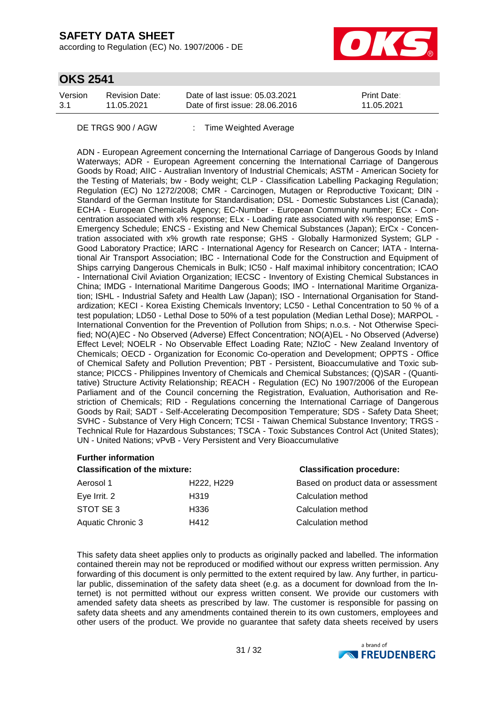according to Regulation (EC) No. 1907/2006 - DE



## **OKS 2541**

| Version | Revision Date: | Date of last issue: 05.03.2021  | <b>Print Date:</b> |
|---------|----------------|---------------------------------|--------------------|
| 3.1     | 11.05.2021     | Date of first issue: 28,06,2016 | 11.05.2021         |

DE TRGS 900 / AGW : Time Weighted Average

ADN - European Agreement concerning the International Carriage of Dangerous Goods by Inland Waterways; ADR - European Agreement concerning the International Carriage of Dangerous Goods by Road; AIIC - Australian Inventory of Industrial Chemicals; ASTM - American Society for the Testing of Materials; bw - Body weight; CLP - Classification Labelling Packaging Regulation; Regulation (EC) No 1272/2008; CMR - Carcinogen, Mutagen or Reproductive Toxicant; DIN - Standard of the German Institute for Standardisation; DSL - Domestic Substances List (Canada); ECHA - European Chemicals Agency; EC-Number - European Community number; ECx - Concentration associated with x% response; ELx - Loading rate associated with x% response; EmS - Emergency Schedule; ENCS - Existing and New Chemical Substances (Japan); ErCx - Concentration associated with x% growth rate response; GHS - Globally Harmonized System; GLP - Good Laboratory Practice; IARC - International Agency for Research on Cancer; IATA - International Air Transport Association; IBC - International Code for the Construction and Equipment of Ships carrying Dangerous Chemicals in Bulk; IC50 - Half maximal inhibitory concentration; ICAO - International Civil Aviation Organization; IECSC - Inventory of Existing Chemical Substances in China; IMDG - International Maritime Dangerous Goods; IMO - International Maritime Organization; ISHL - Industrial Safety and Health Law (Japan); ISO - International Organisation for Standardization; KECI - Korea Existing Chemicals Inventory; LC50 - Lethal Concentration to 50 % of a test population; LD50 - Lethal Dose to 50% of a test population (Median Lethal Dose); MARPOL - International Convention for the Prevention of Pollution from Ships; n.o.s. - Not Otherwise Specified; NO(A)EC - No Observed (Adverse) Effect Concentration; NO(A)EL - No Observed (Adverse) Effect Level; NOELR - No Observable Effect Loading Rate; NZIoC - New Zealand Inventory of Chemicals; OECD - Organization for Economic Co-operation and Development; OPPTS - Office of Chemical Safety and Pollution Prevention; PBT - Persistent, Bioaccumulative and Toxic substance; PICCS - Philippines Inventory of Chemicals and Chemical Substances; (Q)SAR - (Quantitative) Structure Activity Relationship; REACH - Regulation (EC) No 1907/2006 of the European Parliament and of the Council concerning the Registration, Evaluation, Authorisation and Restriction of Chemicals; RID - Regulations concerning the International Carriage of Dangerous Goods by Rail; SADT - Self-Accelerating Decomposition Temperature; SDS - Safety Data Sheet; SVHC - Substance of Very High Concern; TCSI - Taiwan Chemical Substance Inventory; TRGS - Technical Rule for Hazardous Substances; TSCA - Toxic Substances Control Act (United States); UN - United Nations; vPvB - Very Persistent and Very Bioaccumulative

#### **Further information**

| <b>Classification of the mixture:</b> | <b>Classification procedure:</b>    |                                     |
|---------------------------------------|-------------------------------------|-------------------------------------|
| Aerosol 1                             | H <sub>222</sub> , H <sub>229</sub> | Based on product data or assessment |
| Eye Irrit. 2                          | H <sub>319</sub>                    | Calculation method                  |
| STOT SE 3                             | H336                                | Calculation method                  |
| Aquatic Chronic 3                     | H412                                | Calculation method                  |

This safety data sheet applies only to products as originally packed and labelled. The information contained therein may not be reproduced or modified without our express written permission. Any forwarding of this document is only permitted to the extent required by law. Any further, in particular public, dissemination of the safety data sheet (e.g. as a document for download from the Internet) is not permitted without our express written consent. We provide our customers with amended safety data sheets as prescribed by law. The customer is responsible for passing on safety data sheets and any amendments contained therein to its own customers, employees and other users of the product. We provide no guarantee that safety data sheets received by users